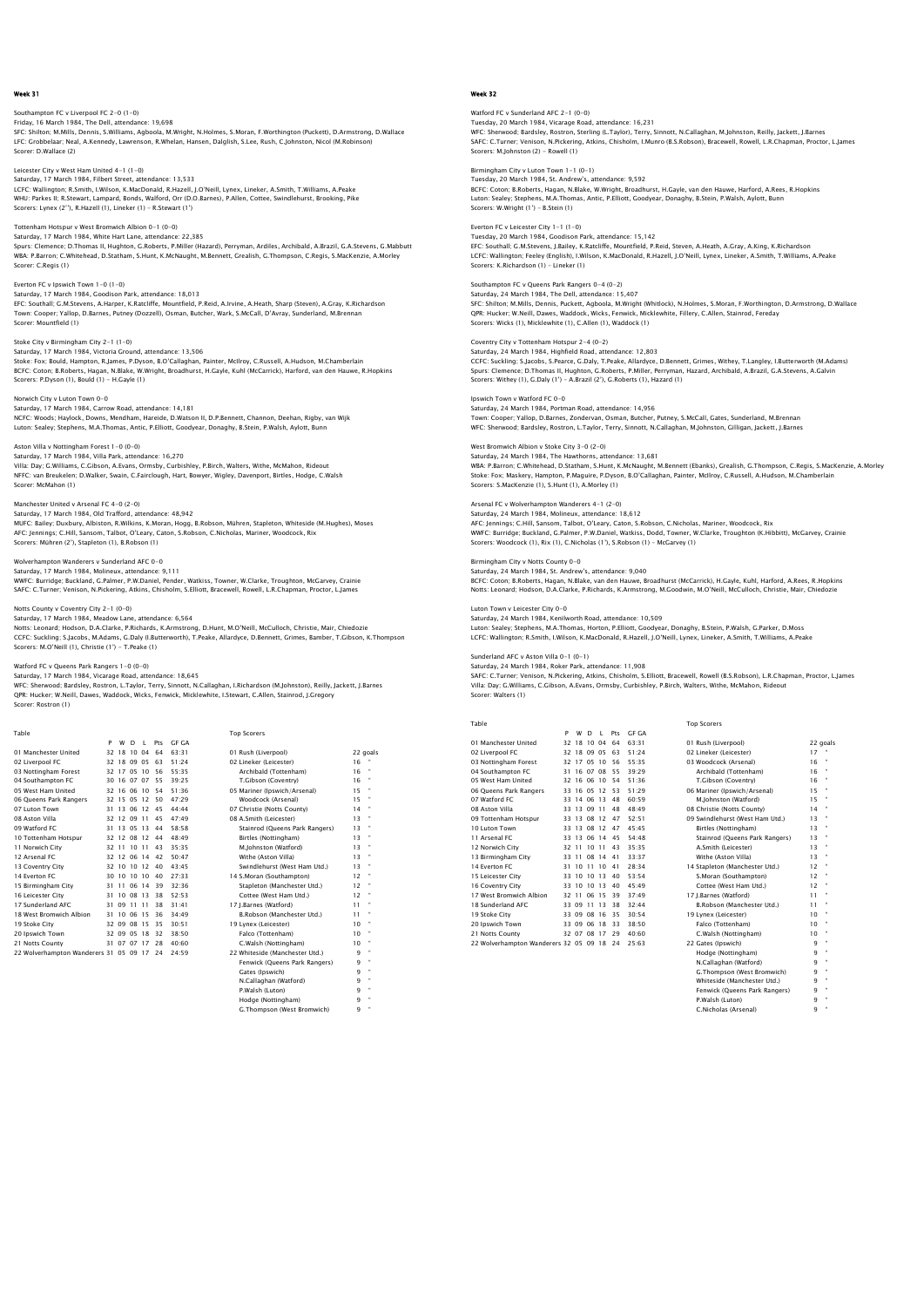# Southampton FC v Liverpool FC 2–0 (1–0)<br>Friday, 16 March 1984, The Dell, attendance: 19,698<br>SFC: Shilton; M.Mills, Dennis, S.Williams, Agboola, M.Wright, N.Holmes, S.Moran, F.Worthington (Puckett), D.Armstrong, D.Wallace LFC: Grobbelaar; Neal, A.Kennedy, Lawrenson, R.Whelan, Hansen, Dalglish, S.Lee, Rush, C.Johnston, Nicol (M.Robinson) Scorer: D.Wallace (2)

Leicester City v West Ham United 4-1 (1-0) Saturday, 17 March 1984, Filbert Street, attendance: 13,533 LCFC: Wallington; R.Smith, I.Wilson, K.MacDonald, R.Hazell, J.O'Neill, Lynex, Lineker, A.Smith, T.Williams, A.Peake<br>WHU: Parkes II; R.Stewart, Lampard, Bonds, Walford, Orr (D.O.Barnes), P.Allen, Cottee, Swindlehurst, Brook Scorers: Lynex (2''), R.Hazell (1), Lineker (1) – R.Stewart (1')

#### Tottenham Hotspur v West Bromwich Albion 0-1 (0-0) Saturday, 17 March 1984, White Hart Lane, attendance: 22,385

Spurs: Clemence; D.Thomas II, Hughton, G.Roberts, P.Miller (Hazard), Perryman, Ardiles, Archibald, A.Brazil, G.A.Stevens, G.Mabbutt<br>WBA: P.Barron; C.Whitehead, D.Statham, S.Hunt, K.McNauqht, M.Bennett, Grealish, G.Thompson Scorer: C.Regis (1)

## Everton FC v Ipswich Town 1-0 (1-0)

Saturday, 17 March 1984, Goodison Park, attendance: 18,013 EFC: Southall; G.M.Stevens, A.Harper, K.Ratcliffe, Mountfield, P.Reid, A.Irvine, A.Heath, Sharp (Steven), A.Gray, K.Richardson<br>Town: Cooper; Yallop, D.Barnes, Putney (Dozzell), Osman, Butcher, Wark, S.McCall, D'Avray, Sund

#### Stoke City v Birmingham City 2-1 (1-0)

Saturday, 17 March 1984, Victoria Ground, attendance: 13,506 Stoke: Fox; Bould, Hampton, R.James, P.Dyson, B.O'Callaghan, Painter, McIlroy, C.Russell, A.Hudson, M.Chamberlain<br>BCFC: Coton; B.Roberts, Haqan, N.Blake, W.Wright, Broadhurst, H.Gayle, Kuhl (McCarrick), Harford, van den Ha Scorers: P.Dyson (1), Bould (1) - H.Gayle (1)

#### Norwich City v Luton Town 0-0

Saturday, 17 March 1984, Carrow Road, attendance: 14,181<br>NCFC: Woods; Haylock, Downs, Mendham, Hareide, D.Watson II, D.P.Bennett, Channon, Deehan, Rigby, van Wijk<br>Luton: Sealey; Stephens, M.A.Thomas, Antic, P.Elliott, Good

# Aston Villa v Nottingham Forest 1-0 (0-0)

Saturday, 17 March 1984, Villa Park, attendance: 16,270<br>Villa: Day: G.Williams, C.Gibson, A.Evans, Ormsby, Curbishley, P.Birch, Walters, Withe, McMahon, Rideout<br>NFFC: van Breukelen; D.Walker, Swain, C.Fairclough, Hart, Bow Scorer: McMahon (1)

## Manchester United v Arsenal FC 4-0 (2-0)

Saturday, 17 March 1984, Old Trafford, attendance: 48,942<br>MUFC: Bailey; Duxbury, Albiston, R.Wilkins, K.Moran, Hogg, B.Robson, Mühren, Stapleton, Whiteside (M.Hughes), Moses<br>AFC: Jennings; C.Hill, Sansom, Talbot, O'Leary, Scorers: Mühren (2'), Stapleton (1), B.Robson (1)

Wolverhampton Wanderers v Sunderland AFC 0–0<br>Saturday, 17 March 1984, Molineux, attendance: 9,111<br>WWFC: Burridge; Buckland, G.Palmer, P.W.Daniel, Pender, Watkiss, Towner, W.Clarke, Troughton, McGarvey, Crainie<br>SAFC: C.Turn

## Notts County v Coventry City 2-1 (0-0)

Saturday, 17 March 1984, Meadow Lane, attendance: 6,564<br>Notts: Leonard; Hodson, D.A.Clarke, P.Richards, K.Armstrong, D.Hunt, M.O'Neill, McCulloch, Christie, Mair, Chiedozie<br>CCFC: Suckling: S.Jacobs, M.Adams, G.Daly (I.Butt Scorers: M.O'Neill (1), Christie (1') - T.Peake (1)

Watford FC v Queens Park Rangers 1–0 (0–0)<br>Saturday, 17 March 1984, Vicarage Road, attendance: 18,645<br>WFC: Sherwood; Bardsley, Rostron, L.Taylor, Terry, Sinnott, N.Callaghan, I.Richardson (M.Johnston), Reilly, Jackett, J.B Scorer: Rostron (1)

P W D L Pts GF GA 01 Manchester United 32 18 10 04 64 63:31 01 Rush (Liverpool) 22 goals 02 Liverpool FC 32 18 09 05 63 51:24 02 Lineker (Leicester) 16 " 03 Nottingham Forest 32 17 05 10 56 55:35 Archibald (Tottenham) 16 "

Table Top Scorers

# 04 Southampton FC 30 16 07 07 55 39:25 T.Gibson (Coventry) 16 " 05 West Ham United 32 16 06 10 54 51:36 05 Mariner (Ipswich/Arsenal) 15 " 06 Queens Park Rangers 32 15 05 12 50 47:29 Woodcock (Arsenal) 15 " 07 Luton Town 31 13 06 12 45 44:44 07 Christie (Notts County) 14 " 08 Aston Villa 32 12 09 11 45 47:49 08 A.Smith (Leicester) 13 " 09 Watford FC 31 13 05 13 44 58:58 Stainrod (Queens Park Rangers) 13 " 10 Tottenham Hotspur 32 12 08 12 44 48:49 Birtles (Nottingham) 13 " 11 Norwich City 32 11 10 11 43 35:35 M.Johnston (Watford) 13 " 11 Norward Litty 11 2012 11 10 11 44 35:35<br>12 Arsenal FC 12 2 12 06 14 42 50:47 Withe (Aston Villa) 13<br>13 Coventry City 13 2 10 10 12 40 43:45 Swindlehurst (West Ham Utd.) 13<br>14 Everton FC 30 10 10 10 40 27:33 14 S.Moran ( 13 Coventry City 32 10 10 12 40 43:45 Swindlehurst (West Ham Utd.) 13 " 14 Everton FC 30 10 10 10 40 27:33 14 S.Moran (Southampton) 12 " 15 Birmingham City 31 11 06 14 39 32:36 Stapleton (Manchester Utd.) 12<br>16 Leicester City 31 10 08 13 38 52:53 Stapleton (Manchester Utd.) 12 16 Leicester City 31 10 08 13 38 52:53 Cottee (West Ham Utd.) 12 " 17 Sunderland AFC 31 09 11 11 38 31:41 17 J.Barnes (Watford) 11 " 18 West Bromwich Albion 31 10 06 15 36 34:49 B.Robson (Manchester Utd.) 11 " 19 Stoke City 32 09 08 15 35 30:51 19 Lynex (Leicester) 10 " 20 Ipswich Town 32 09 05 18 32 38:50 Falco (Tottenham) 10 " 21 Notts County 31 07 07 17 28 40:60 C.Walsh (Nottingham) 10 " 22 Wolverhampton Wanderers 31 05 09 17 24 24:59 22 Whiteside (Manchester Utd.) 9 " Fenwick (Queens Park Rangers) 9 " Gates (Ipswich) 9 " N.Callaghan (Watford) 9 " P.Walsh (Luton) Modge (Nottingham)

Growingham<br>Mpson (West Bromwich)

# Week 32

# Watford FC v Sunderland AFC 2–1 (0–0)<br>Tuesday, 20 March 1984, Vicarage Road, attendance: 16,231<br>WFC: Sherwood: Bardsley, Rostron, Sterling (L.Taylor), Terry, Sinnott, N.Callaghan, M.Johnston, Reilly, Jackett, J.Barnes SAFC: C.Turner; Venison, N.Pickering, Atkins, Chisholm, I.Munro (B.S.Robson), Bracewell, Rowell, L.R.Chapman, Proctor, L.James Scorers: M.Johnston (2) - Rowell (1)

# m City v Luton Town 1-1 (0-1)

Tuesday, 20 March 1984, St. Andrew's, attendance: 9,592 BCFC: Coton; B.Roberts, Hagan, N.Blake, W.Wright, Broadhurst, H.Gayle, van den Hauwe, Harford, A.Rees, R.Hopkins Luton: Sealey; Stephens, M.A.Thomas, Antic, P.Elliott, Goodyear, Donaghy, B.Stein, P.Walsh, Aylott, Bunn Scorers: W.Wright (1') – B.Stein (1)

#### Everton FC v Leicester City 1-1 (1-0) Tuesday, 20 March 1984, Goodison Park, attendance: 15,142

EFC: Southall; G.M.Stevens, J.Bailey, K.Ratcliffe, Mountfield, P.Reid, Steven, A.Heath, A.Gray, A.King, K.Richardson LCFC: Wallington; Feeley (English), I.Wilson, K.MacDonald, R.Hazell, J.O'Neill, Lynex, Lineker, A.Smith, T.Williams, A.Peake Scorers: K.Richardson (1) – Lineker (1)

#### Southampton FC v Queens Park Rangers 0-4 (0-2) Saturday, 24 March 1984, The Dell, attendance: 15,407

SFC: Shilton; M.Mills, Dennis, Puckett, Agboola, M.Wright (Whitlock), N.Holmes, S.Moran, F.Worthington, D.Armstrong, D.Wallace<br>QPR: Hucker; W.Neill, Dawes, Waddock, Wicks, Fenwick, Micklewhite, Fillery, C.Allen, Stainrod,

## Coventry City v Tottenham Hotspur 2-4 (0-2)

Saturday, 24 March 1984, Highfield Road, attendance: 12,803 CCFC: Suckling; S.Jacobs, S.Pearce, G.Daly, T.Peake, Allardyce, D.Bennett, Grimes, Withey, T.Langley, I.Butterworth (M.Adams)<br>Spurs: Clemence; D.Thomas II, Hughton, G.Roberts, P.Miller, Perryman, Hazard, Archibald, A.Brazi Scorers: Withey (1), G.Daly (1') - A.Brazil (2'), G.Roberts (1), Hazard (1)

#### Ipswich Town v Watford FC 0-0

Saturday, 24 March 1984, Portman Road, attendance: 14,956 Town: Cooper; Yallop, D.Barnes, Zondervan, Osman, Butcher, Putney, S.McCall, Gates, Sunderland, M.Brennan WFC: Sherwood; Bardsley, Rostron, L.Taylor, Terry, Sinnott, N.Callaghan, M.Johnston, Gilligan, Jackett, J.Barnes

# West Bromwich Albion v Stoke City 3-0 (2-0)<br>Saturday, 24 March 1984, The Hauthorns, attendance: 13,681

Saturday, 24 March 1984, The Hawthorns, attendance: 13,681<br>WBA: P.Barron; C.Whitehead, D.Statham, S.Hunt, K.McNaught, M.Bennett (Ebanks), Grealish, G.Thompson, C.Regis, S.MacKenzie, A.Morley<br>Stoke: Fox; Maskerv, Hampton, P

# Arsenal FC v Wolverhampton Wanderers 4-1 (2-0)

Saturday, 24 March 1984, Molineux, attendance: 18,612<br>AFC: Jennings; C.Hill, Sansom, Talbot, O'leary, Caton, S.Robson, C.Nicholas, Mariner, Woodcock, Rix<br>WWFC: Burridge: Buckland, G.Palmer, P.W.Daniel, Watkiss, Dodd, Towne Scorers: Woodcock (1), Rix (1), C.Nicholas (1'), S.Robson (1) – McGarvey (1)

Birmingham City v Notts County 0–0<br>Saturday, 24 March 1984, St. Andrew's, attendance: 9,040<br>BCFC: Coton; B.Roberts, Hagan, N.Blake, van den Hauwe, Broadhurst (McCarrick), H.Gayle, Kuhl, Harford, A.Rees, R.Hopkins<br>BCFC: Cot

## Luton Town v Leicester City 0-0

Saturday, 24 March 1984, Kenilworth Road, attendance: 10,509<br>Luton: Sealey, Stephens, M.A.Thomas, Horton, P.Elliott, Goodyear, Donaghy, B.Stein, P.Walsh, G.Parker, D.Moss<br>LCFC: Wallington: R.Smith, LWilson, K.MacDonald, R.

Sunderland AFC v Aston Villa 0–1 (0–1)<br>Saturday, 24 March 1984, Roker Park, attendance: 11,908<br>SAFC: C.Turner; Venison, N.Pickering, Atkins, Chisholm, S.Elliott, Bracewell, Rowell (B.S.Robson), L.R.Chapman, Proctor, L.Jame

| Scorer: Walters (1)<br>. |  |  |  |  |
|--------------------------|--|--|--|--|
|                          |  |  |  |  |

Table Top Scorers

|                                        | P     | W           | D      | - 11        | Pts | GE GA |                                 |          |              |
|----------------------------------------|-------|-------------|--------|-------------|-----|-------|---------------------------------|----------|--------------|
| 01 Manchester United                   |       | 32 18 10 04 |        |             | 64  | 63.31 | 01 Rush (Liverpool)             | 22 goals |              |
| 02 Liverpool FC                        |       | 32 18 09 05 |        |             | 63  | 51:24 | 02 Lineker (Leicester)          | 17       |              |
| 03 Nottingham Forest                   |       | 32 17 05 10 |        |             | 56  | 55:35 | 03 Woodcock (Arsenal)           | 16       |              |
| 04 Southampton FC                      |       | 31 16       | 07     | 08          | 55  | 39.29 | Archibald (Tottenham)           | 16       |              |
| 05 West Ham United                     |       | 32 16 06 10 |        |             | 54  | 51.36 | T.Gibson (Coventry)             | 16       |              |
| 06 Queens Park Rangers                 |       | 33 16 05 12 |        |             | 53  | 51.29 | 06 Mariner (Ipswich/Arsenal)    | 15       |              |
| 07 Watford FC                          |       | 33 14       | 06 13  |             | 48  | 60:59 | M.Johnston (Watford)            | 15       |              |
| 08 Aston Villa                         |       | 33 13 09 11 |        |             | 48  | 48:49 | 08 Christie (Notts County)      | 14       |              |
| 09 Tottenham Hotspur                   |       | 33 13 08 12 |        |             | 47  | 52.51 | 09 Swindlehurst (West Ham Utd.) | 13       | $\mathbf{a}$ |
| 10 Luton Town                          |       | 33 13       | 08 12  |             | 47  | 45.45 | Birtles (Nottingham)            | 13       |              |
| 11 Arsenal FC                          |       |             |        | 33 13 06 14 | 45  | 54.48 | Stainrod (Queens Park Rangers)  | 13       |              |
| 12 Norwich City                        | 32 11 |             | 1011   |             | 43  | 35.35 | A.Smith (Leicester)             | 13       | ٠            |
| 13 Birmingham City                     |       | 33 11       | 08 14  |             | 41  | 33:37 | Withe (Aston Villa)             | 13       |              |
| 14 Everton EC                          |       | 31 10       | 11, 10 |             | 41  | 28.34 | 14 Stapleton (Manchester Utd.)  | 12       |              |
| 15 Leicester City                      |       | 33 10       | 10 13  |             | 40  | 53.54 | S.Moran (Southampton)           | 12       |              |
| 16 Coventry City                       |       | 33 10       | 10 13  |             | 40  | 45.49 | Cottee (West Ham Utd.)          | 12       |              |
| 17 West Bromwich Albion                | 32 11 |             | 06 15  |             | 39  | 37.49 | 17 J.Barnes (Watford)           | 11       |              |
| 18 Sunderland AFC                      |       | 33 09       | 11     | 13          | 38  | 32.44 | B.Robson (Manchester Utd.)      | 11       |              |
| 19 Stoke City                          |       | 33 09 08 16 |        |             | 35  | 30.54 | 19 Lynex (Leicester)            | 10       |              |
| 20 Ipswich Town                        |       | 33 09       | 06     | 18          | 33  | 38:50 | Falco (Tottenham)               | 10       | $\mathbf{a}$ |
| 21 Notts County                        |       | 32 07       | 08 17  |             | 29  | 40.60 | C.Walsh (Nottingham)            | 10       |              |
| 22 Wolverhampton Wanderers 32 05 09 18 |       |             |        |             | 24  | 25:63 | 22 Gates (Ipswich)              | ۹        |              |

17 J.Barnes (Watford) 11<br>B.Robson (Manchester Utd.) 11 19 B.Robson (Manchester Utd.)<br>
11 Lynex (Leicester) 10<br>
10 Falco (Tottenham) 10 22 Gates (Ipswich) 9 32 9 Hodge (Nottingham) 9 " N.Callaghan (Watford) 9 "



C.Nicholas (Arsenal)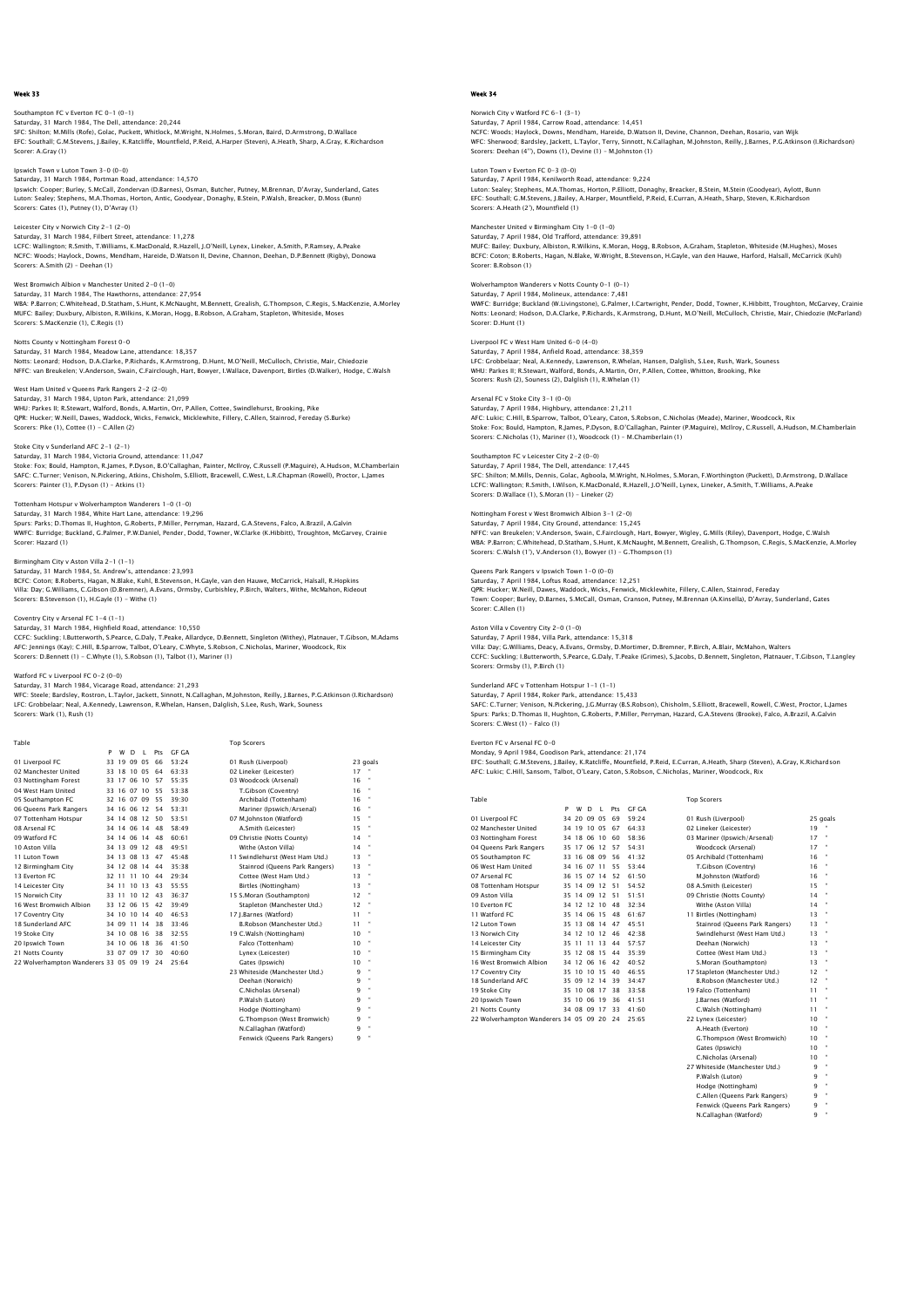Southampton FC v Everton FC 0–1 (0–1)<br>Saturday, 31 March 1984, The Dell, attendance: 20,244<br>SFC: Shilton; M.Mills (Rofe), Golac, Puckett, Whitlock, M.Wright, N.Holmes, S.Moran, Baird, D.Armstrong, D.Wallace EFC: Southall; G.M.Stevens, J.Bailey, K.Ratcliffe, Mountfield, P.Reid, A.Harper (Steven), A.Heath, Sharp, A.Gray, K.Richardson Scorer: A.Gray (1)

Ipswich Town v Luton Town 3-0 (0-0) Saturday, 31 March 1984, Portman Road, attendance: 14,570 Ipswich: Cooper; Burley, S.McCall, Zondervan (D.Barnes), Osman, Butcher, Putney, M.Brennan, D'Avray, Sunderland, Gates Luton: Sealey; Stephens, M.A.Thomas, Horton, Antic, Goodyear, Donaghy, B.Stein, P.Walsh, Breacker, D.Moss (Bunn) Scorers: Gates (1), Putney (1), D'Avray (1)

# Leicester City v Norwich City 2-1 (2-0)

Saturday, 31 March 1984, Filbert Street, attendance: 11,278 LCFC: Wallington; R.Smith, T.Williams, K.MacDonald, R.Hazell, J.O'Neill, Lynex, Lineker, A.Smith, P.Ramsey, A.Peake<br>NCFC: Woods; Haylock, Downs, Mendham, Hareide, D.Watson II, Devine, Channon, Deehan, D.P.Bennett (Riqby), Scorers: A.Smith (2) – Deehan (1)

## West Bromwich Albion v Manchester United 2-0 (1-0)

Saturday, 31 March 1984, The Hawthorns, attendance: 27,954<br>WBA: P.Barron; C.Whitehead, D.Statham, S.Hunt, K.McNaught, M.Bennett, Grealish, G.Thompson, C.Regis, S.MacKenzie, A.Morley<br>MUFC: Bailey: Duxbury, Albiston, R.Wikin

Notts County v Nottingham Forest 0-0 Saturday, 31 March 1984, Meadow Lane, attendance: 18,357 Notts: Leonard; Hodson, D.A.Clarke, P.Richards, K.Armstrong, D.Hunt, M.O'Neill, McCulloch, Christie, Mair, Chiedozie<br>NFFC: van Breukelen; V.Anderson, Swain, C.Fairclough, Hart, Bowyer, I.Wallace, Davenport, Birtles (D.Walk

#### West Ham United v Queens Park Rangers 2-2 (2-0)

Saturday, 31 March 1984, Upton Park, attendance: 21,099 WHU: Parkes II; R.Stewart, Walford, Bonds, A.Martin, Orr, P.Allen, Cottee, Swindlehurst, Brooking, Pike QPR: Hucker; W.Neill, Dawes, Waddock, Wicks, Fenwick, Micklewhite, Fillery, C.Allen, Stainrod, Fereday (S.Burke) Scorers: Pike (1), Cottee (1) - C.Allen (2)

# Stoke City v Sunderland AFC 2-1 (2-1)<br>Saturday, 21 March 1984, Victoria Cround, attendance: 11.047

Saturday, 31 March 1984, Victoria Ground, attendance: 11,047<br>Stoke: Fox: Bould, Hampton, R.James, P.Dyson, B.O'Callaghan, Painter, McIlroy, C.Russell (P.Maguire), A.Hudson, M.Chamberlain<br>SAFC: C.Turner; Venison, N.Pickerin

## Tottenham Hotspur v Wolverhampton Wanderers 1-0 (1-0)

Saturday, 31 March 1984, White Hart Lane, attendance: 19,296<br>Spurs: Parks; D.Thomas II, Hughton, G.Roberts, P.Miller, Perryman, Hazard, G.A.Stevens, Falco, A.Brazil, A.Galvin<br>WWFC: Burridge: Buckland, G.Palmer, P.W.Daniel, Scorer: Hazard (1)

Birmingham City v Aston Villa 2–1 (1–1)<br>Saturday, 31 March 1984, St. Andrew's, attendance: 23,993<br>BCFC: Coton; B.Roberts, Hagan, N.Blake, Kuhl, B.Stevenson, H.Gayle, van den Hauwe, McCarrick, Halsall, R.Hopkins<br>Villa: Day; Scorers: B.Stevenson (1), H.Gayle (1) - Withe (1)

# Coventry City v Arsenal FC 1-4 (1-1)

Saturday, 31 March 1984, Highfield Road, attendance: 10,550 CCFC: Suckling; I.Butterworth, S.Pearce, G.Daly, T.Peake, Allardyce, D.Bennett, Singleton (Withey), Platnauer, T.Gibson, M.Adams AFC: Jennings (Kay); C.Hill, B.Sparrow, Talbot, O'Leary, C.Whyte, S.Robson, C.Nicholas, Mariner, Woodcock, Rix Scorers: D.Bennett (1) - C.Whyte (1), S.Robson (1), Talbot (1), Mariner (1)

#### Watford FC v Liverpool FC 0-2 (0-0) Saturday, 31 March 1984, Vicarage Road, attendance: 21,293

WFC: Steele; Bardsley, Rostron, L.Taylor, Jackett, Sinnott, N.Callaghan, M.Johnston, Reilly, J.Barnes, P.G.Atkinson (I.Richardson) LFC: Grobbelaar; Neal, A.Kennedy, Lawrenson, R.Whelan, Hansen, Dalglish, S.Lee, Rush, Wark, Souness Scorers: Wark (1), Rush (1)

|   | I |        |  |
|---|---|--------|--|
| × |   | $\sim$ |  |

Top Scorers

Fenwick (Queens Park Rangers)

|                                           | P | w | D           | $\blacksquare$ | Pts | GE GA |                                 |    |          |
|-------------------------------------------|---|---|-------------|----------------|-----|-------|---------------------------------|----|----------|
| 01 Liverpool FC                           |   |   | 33 19 09 05 |                | 66  | 53:24 | 01 Rush (Liverpool)             |    | 23 goals |
| 02 Manchester United                      |   |   |             | 33 18 10 05    | 64  | 63.33 | 02 Lineker (Leicester)          | 17 |          |
| 03 Nottingham Forest                      |   |   |             | 33 17 06 10 57 |     | 55:35 | 03 Woodcock (Arsenal)           | 16 |          |
| 04 West Ham United                        |   |   |             | 33 16 07 10    | 55  | 53.38 | T.Gibson (Coventry)             | 16 |          |
| 05 Southampton FC                         |   |   |             | 32 16 07 09 55 |     | 39:30 | Archibald (Tottenham)           | 16 |          |
| 06 Queens Park Rangers                    |   |   |             | 34 16 06 12    | 54  | 53:31 | Mariner (Ipswich/Arsenal)       | 16 |          |
| 07 Tottenham Hotspur                      |   |   |             | 34 14 08 12    | 50  | 53:51 | 07 M.Johnston (Watford)         | 15 |          |
| 08 Arsenal FC                             |   |   |             | 34 14 06 14    | 48  | 58:49 | A.Smith (Leicester)             | 15 |          |
| 09 Watford FC                             |   |   |             | 34 14 06 14    | 48  | 60:61 | 09 Christie (Notts County)      | 14 |          |
| 10 Aston Villa                            |   |   |             | 34 13 09 12    | 48  | 49:51 | Withe (Aston Villa)             | 14 |          |
| 11 Luton Town                             |   |   |             | 34 13 08 13    | 47  | 45:48 | 11 Swindlehurst (West Ham Utd.) | 13 |          |
| 12 Birmingham City                        |   |   |             | 34 12 08 14    | 44  | 35:38 | Stainrod (Oueens Park Rangers)  | 13 |          |
| 13 Everton EC                             |   |   |             | 32 11 11 10    | 44  | 29:34 | Cottee (West Ham Utd.)          | 13 |          |
| 14 Leicester City                         |   |   |             | 34 11 10 13    | 43  | 55:55 | Birtles (Nottingham)            | 13 |          |
| 15 Norwich City                           |   |   |             | 33 11 10 12    | 43  | 36:37 | 15 S.Moran (Southampton)        | 12 |          |
| 16 West Bromwich Albion                   |   |   | 33 12 06 15 |                | 42  | 39:49 | Stapleton (Manchester Utd.)     | 12 |          |
| 17 Coventry City                          |   |   |             | 34 10 10 14    | 40  | 46.53 | 17 I.Barnes (Watford)           | 11 |          |
| 18 Sunderland AFC                         |   |   | 34 09 11 14 |                | 38  | 33:46 | B.Robson (Manchester Utd.)      | 11 |          |
| 19 Stoke City                             |   |   | 34 10 08 16 |                | 38  | 32:55 | 19 C.Walsh (Nottingham)         | 10 |          |
| 20 Ipswich Town                           |   |   | 34 10 06 18 |                | 36  | 41.50 | Falco (Tottenham)               | 10 |          |
| 21 Notts County                           |   |   |             | 33 07 09 17    | 30  | 40:60 | Lynex (Leicester)               | 10 |          |
| 22 Wolverhampton Wanderers 33 05 09 19 24 |   |   |             |                |     | 25:64 | Gates (Ipswich)                 | 10 |          |
|                                           |   |   |             |                |     |       | 23 Whiteside (Manchester Utd.)  | 9  | ×        |
|                                           |   |   |             |                |     |       | Deehan (Norwich)                | 9  |          |
|                                           |   |   |             |                |     |       | C.Nicholas (Arsenal)            | 9  | ×        |
|                                           |   |   |             |                |     |       | P.Walsh (Luton)                 | ٩  |          |
|                                           |   |   |             |                |     |       | Hodge (Nottingham)              | ۹  | ×        |
|                                           |   |   |             |                |     |       | G.Thompson (West Bromwich)      | ٩  |          |
|                                           |   |   |             |                |     |       | N.Callaghan (Watford)           | q  | ×        |

# Week 34

# Norwich City v Watford FC 6–1 (3–1)<br>Saturday, 7 April 1984, Carrow Road, attendance: 14,451<br>NCFC: Woods; Haylock, Downs, Mendham, Hareide, D.Watson II, Devine, Channon, Deehan, Rosario, van Wijk WFC: Sherwood; Bardsley, Jackett, L.Taylor, Terry, Sinnott, N.Callaghan, M.Johnston, Reilly, J.Barnes, P.G.Atkinson (I.Richardson)<br>Scorers: Deehan (4''), Downs (1), Devine (1) – M.Johnston (1)

#### Luton Town v Everton FC 0-3 (0-0) Saturday, 7 April 1984, Kenilworth Road, attendance: 9,224

Luton: Sealey; Stephens, M.A.Thomas, Horton, P.Elliott, Donaghy, Breacker, B.Stein, M.Stein (Goodyear), Aylott, Bunn<br>EFC: Southall: G.M.Stevens, J.Bailey, A.Harper, Mountfield, P.Reid, E.Curran, A.Heath, Sharp, Steven, K.R Scorers: A.Heath (2'), Mountfield (1)

#### Manchester United v Birmingham City 1-0 (1-0) Saturday, 7 April 1984, Old Trafford, attendance: 39,891

MUFC: Bailey; Duxbury, Albiston, R.Wilkins, K.Moran, Hogg, B.Robson, A.Graham, Stapleton, Whiteside (M.Hughes), Moses<br>BCFC: Coton; B.Roberts, Haqan, N.Blake, W.Wriqht, B.Stevenson, H.Gayle, van den Hauwe, Harford, Halsall, Scorer: B.Robson (1)

#### Wolverhampton Wanderers v Notts County 0-1 (0-1) Saturday, 7 April 1984, Molineux, attendance: 7,481

WWFC: Burridge; Buckland (W.Livingstone), G.Palmer, I.Cartwright, Pender, Dodd, Towner, K.Hibbitt, Troughton, McGarvey, Crainie<br>Notts: Leonard; Hodson, D.A.Clarke, P.Richards, K.Armstrong, D.Hunt, M.O'Neill, McCulloch, Chr

## Liverpool FC v West Ham United 6-0 (4-0) Saturday, 7 April 1984, Anfield Road, attendance: 38,359

LFC: Grobbelaar; Neal, A.Kennedy, Lawrenson, R.Whelan, Hansen, Dalglish, S.Lee, Rush, Wark, Souness WHU: Parkes II; R.Stewart, Walford, Bonds, A.Martin, Orr, P.Allen, Cottee, Whitton, Brooking, Pike Scorers: Rush (2), Souness (2), Dalglish (1), R.Whelan (1)

#### Arsenal FC v Stoke City 3-1 (0-0)

Saturday, 7 April 1984, Highbury, attendance: 21,211<br>AFC: Lukic; C.Hill, B.Sparrow, Talbot, O'Leary, Caton, S.Robson, C.Nicholas (Meade), Mariner, Woodcock, Rix<br>Stoke: Fox; Bould, Hampton, R.James, P.Dyson, B.O'Callaghan,

Southampton FC v Leicester City 2–2 (0–0)<br>Saturday, 7 April 1984, The Dell, attendance: 17,445<br>SFC: Shilton; M.Mills, Dennis, Golac, Agboola, M.Wright, N.Holmes, S.Moran, F.Worthington (Puckett), D.Armstrong, D.Wallace<br>SFC Scorers: D.Wallace (1), S.Moran (1) - Lineker (2)

# Nottingham Forest v West Bromwich Albion 3-1 (2-0)

Saturday, 7 April 1984, City Ground, attendance: 15,245 NFFC: van Breukelen; V.Anderson, Swain, C.Fairclough, Hart, Bowyer, Wigley, G.Mills (Riley), Davenport, Hodge, C.Walsh WBA: P.Barron; C.Whitehead, D.Statham, S.Hunt, K.McNaught, M.Bennett, Grealish, G.Thompson, C.Regis, S.MacKenzie, A.Morley Scorers: C.Walsh (1'), V.Anderson (1), Bowyer (1) – G.Thompson (1)

Queens Park Rangers v Ipswich Town 1–0 (0–0)<br>Saturday, 7 April 1984, Loftus Road, attendance: 12,251<br>QPR: Hucker; W.Neill, Dawes, Waddock, Wicks, Fenwick, Micklewhite, Fillery, C.Allen, Stainrod, Fereday Town: Cooper; Burley, D.Barnes, S.McCall, Osman, Cranson, Putney, M.Brennan (A.Kinsella), D'Avray, Sunderland, Gates Scorer: C.Allen (1)

## Aston Villa v Coventry City 2-0 (1-0)

Saturday, 7 April 1984, Villa Park, attendance: 15,318 Villa: Day; G.Williams, Deacy, A.Evans, Ormsby, D.Mortimer, D.Bremner, P.Birch, A.Blair, McMahon, Walters CCFC: Suckling; I.Butterworth, S.Pearce, G.Daly, T.Peake (Grimes), S.Jacobs, D.Bennett, Singleton, Platnauer, T.Gibson, T.Langley Scorers: Ormsby (1), P.Birch (1)

#### Sunderland AFC v Tottenham Hotspur 1-1 (1-1)

Saturday, 7 April 1984, Roker Park, attendance: 15,433

SAFC: C.Turner; Venison, N.Pickering, J.G.Murray (B.S.Robson), Chisholm, S.Elliott, Bracewell, Rowell, C.West, Proctor, L.James<br>Spurs: Parks; D.Thomas II, Hughton, G.Roberts, P.Miller, Perryman, Hazard, G.A.Stevens (Brooke

#### Everton FC v Arsenal FC 0-0

Monday, 9 April 1984, Goodison Park, attendance: 21,174<br>EFC: Southall; G.M.Stevens, J.Bailey, K.Ratcliffe, Mountfield, P.Reid, E.Curran, A.Heath, Sharp (Steven), A.Gray, K.Richardson<br>AFC: Lukic; C.Hill, Sansom, Talbot, O'L

Table Top Scorers

|                                        | P  | W           | <sup>D</sup> | L. | Pts | <b>GF GA</b> |                                |          |   |
|----------------------------------------|----|-------------|--------------|----|-----|--------------|--------------------------------|----------|---|
| 01 Liverpool FC                        | 34 | 20          | 09 05        |    | 69  | 59.24        | 01 Rush (Liverpool)            | 25 goals |   |
| 02 Manchester United                   |    | 34 19 10 05 |              |    | 67  | 64:33        | 02 Lineker (Leicester)         | 19       |   |
| 03 Nottingham Forest                   |    | 34 18       | 06 10        |    | 60  | 58.36        | 03 Mariner (Ipswich/Arsenal)   | 17       | ٠ |
| 04 Oueens Park Rangers                 |    | 35 17       | 06 12        |    | 57  | 54:31        | Woodcock (Arsenal)             | 17       |   |
| 05 Southampton FC                      |    | 33 16 08 09 |              |    | 56  | 41:32        | 05 Archibald (Tottenham)       | 16       |   |
| 06 West Ham United                     |    | 34 16       | 0711         |    | 55  | 53.44        | T.Gibson (Coventry)            | 16       |   |
| 07 Arsenal FC                          |    | 36 15 07 14 |              |    | 52  | 61:50        | M.Johnston (Watford)           | 16       |   |
| 08 Tottenham Hotspur                   |    | 35 14       | 09           | 12 | 51  | 54.52        | 08 A.Smith (Leicester)         | 15       |   |
| 09 Aston Villa                         |    | 35 14 09 12 |              |    | 51  | 51:51        | 09 Christie (Notts County)     | 14       |   |
| 10 Everton FC                          |    | 34 12 12    |              | 10 | 48  | 32:34        | Withe (Aston Villa)            | 14       |   |
| 11 Watford FC                          |    | 35 14 06 15 |              |    | 48  | 61.67        | 11 Birtles (Nottingham)        | 13       |   |
| 12 Luton Town                          |    | 35 13 08 14 |              |    | 47  | 45:51        | Stainrod (Queens Park Rangers) | 13       |   |
| 13 Norwich City                        |    | 34 12 10 12 |              |    | 46  | 42:38        | Swindlehurst (West Ham Utd.)   | 13       |   |
| 14 Leicester City                      |    | 35 11       | 11           | 13 | 44  | 57.57        | Deehan (Norwich)               | 13       |   |
| 15 Birmingham City                     |    | 35 12 08    |              | 15 | 44  | 35:39        | Cottee (West Ham Utd.)         | 13       |   |
| 16 West Bromwich Albion                |    | 34 12 06 16 |              |    | 42  | 40.52        | S.Moran (Southampton)          | 13       |   |
| 17 Coventry City                       |    | 35 10 10 15 |              |    | 40  | 46:55        | 17 Stapleton (Manchester Utd.) | 12       |   |
| 18 Sunderland AFC                      |    | 35 09 12    |              | 14 | 39  | 34:47        | B.Robson (Manchester Utd.)     | 12       |   |
| 19 Stoke City                          |    | 35 10 08 17 |              |    | 38  | 33:58        | 19 Falco (Tottenham)           | 11       |   |
| 20 Ipswich Town                        |    | 35 10 06    |              | 19 | 36  | 41:51        | J.Barnes (Watford)             | 11       |   |
| 21 Notts County                        |    | 34 08 09    |              | 17 | 33  | 41.60        | C.Walsh (Nottingham)           | 11       |   |
| 22 Wolverhampton Wanderers 34 05 09 20 |    |             |              |    | 24  | 25:65        | 22 Lynex (Leicester)           | 10       |   |
|                                        |    |             |              |    |     |              | A.Heath (Everton)              | 10       |   |

| 01 Rush (Liverpool)            | 25 goal   |          |
|--------------------------------|-----------|----------|
| 02 Lineker (Leicester)         | 19        |          |
| 03 Mariner (Ipswich/Arsenal)   | 17        | ×        |
| Woodcock (Arsenal)             | 17        | ٠        |
| 05 Archibald (Tottenham)       | 16        | ×        |
| T.Gibson (Coventry)            | 16        | $\alpha$ |
| M.Johnston (Watford)           | 16        | $\alpha$ |
| 08 A.Smith (Leicester)         | 15        | ×        |
| 09 Christie (Notts County)     | 14        | ×        |
| Withe (Aston Villa)            | 14        | ٠        |
| 11 Birtles (Nottingham)        | 13        | ×        |
| Stainrod (Oueens Park Rangers) | 13        | $\alpha$ |
| Swindlehurst (West Ham Utd.)   | 13        | $\alpha$ |
| Deehan (Norwich)               | 13        | ×        |
| Cottee (West Ham Utd.)         | 13        | ×        |
| S.Moran (Southampton)          | 13        | $\alpha$ |
| 17 Stapleton (Manchester Utd.) | $12^{12}$ | ٠        |
| B.Robson (Manchester Utd.)     | $12^{12}$ | ٠        |
| 19 Falco (Tottenham)           | 11        | ×        |
| J.Barnes (Watford)             | 11        | ٠        |
| C.Walsh (Nottingham)           | 11        | ×        |
| 22 Lynex (Leicester)           | 10        | ×        |
| A.Heath (Everton)              | 10        | $\alpha$ |
| G.Thompson (West Bromwich)     | 10        | ٠        |
| Gates (Ipswich)                | 10        | ٠        |
| C.Nicholas (Arsenal)           | 10        | $\alpha$ |
| 27 Whiteside (Manchester Utd.) | ۹         | ٠        |
| P.Walsh (Luton)                | ۹         | ×        |
| Hodge (Nottingham)             | ۹         | ×        |
| C.Allen (Queens Park Rangers)  | ۹         | ٠        |
| Fenwick (Oueens Park Rangers)  | ۹         | ×        |
| N.Callaghan (Watford)          | 9         | ٠        |
|                                |           |          |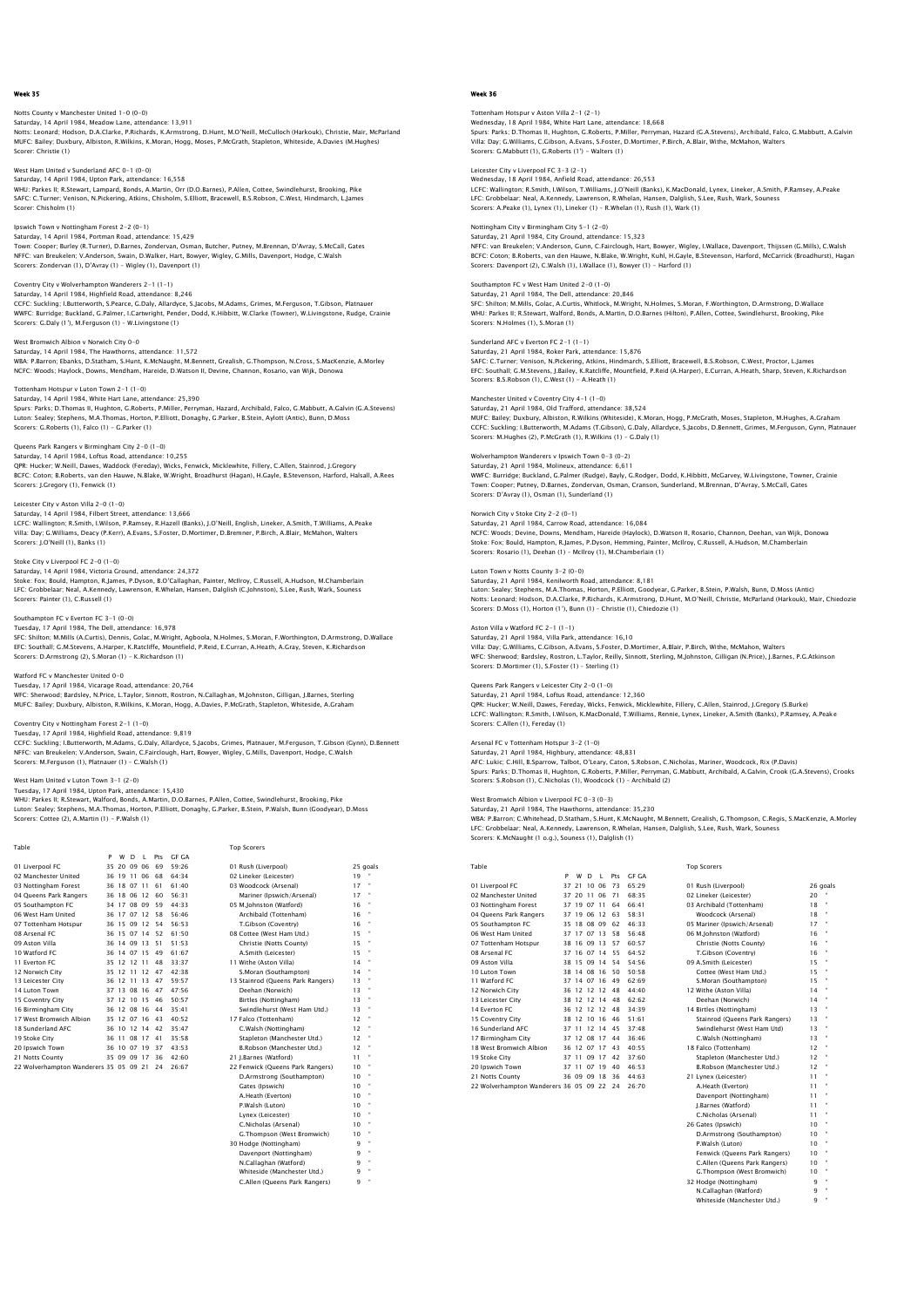## otts County v Manchester United 1-0 (0-0) Saturday, 14 April 1984, Meadow Lane, attendance: 13,911 Notts: Leonard; Hodson, D.A.Clarke, P.Richards, K.Armstrong, D.Hunt, M.O'Neill, McCulloch (Harkouk), Christie, Mair, McParland MUFC: Bailey; Duxbury, Albiston, R.Wilkins, K.Moran, Hogg, Moses, P.McGrath, Stapleton, Whiteside, A.Davies (M.Hughes) Scorer: Christie (1)

West Ham United v Sunderland AFC 0-1 (0-0) Saturday, 14 April 1984, Upton Park, attendance: 16,558

WHU: Parkes II; R.Stewart, Lampard, Bonds, A.Martin, Orr (D.O.Barnes), P.Allen, Cottee, Swindlehurst, Brooking, Pike SAFC: C.Turner; Venison, N.Pickering, Atkins, Chisholm, S.Elliott, Bracewell, B.S.Robson, C.West, Hindmarch, L.James Scorer: Chisholm (1)

Ipswich Town v Nottingham Forest 2-2 (0-1) Saturday, 14 April 1984, Portman Road, attendance: 15,429 Town: Cooper; Burley (R.Turner), D.Barnes, Zondervan, Osman, Butcher, Putney, M.Brennan, D'Avray, S.McCall, Gates<br>NFFC: van Breukelen; V.Anderson, Swain, D.Walker, Hart, Bowyer, Wigley, G.Mills, Davenport, Hodge, C.Walsh<br>S

## Coventry City v Wolverhampton Wanderers 2-1 (1-1)

Saturday, 14 April 1984, Highfield Road, attendance: 8,246 CCFC: Suckling: I.Butterworth, S.Pearce, G.Daly, Allardyce, S.Jacobs, M.Adams, Grimes, M.Ferguson, T.Gibson, Platnauer<br>WWFC: Burridge: Buckland, G.Palmer, I.Cartwright, Pender, Dodd, K.Hibbitt, W.Clarke (Towner), W.Livings

West Bromwich Albion v Norwich City 0-0<br>Saturday, 14 April 1984, The Hawthorns, attendance: 11.572 Saturday, 14 April 1984, The Hawthorn WBA: P.Barron; Ebanks, D.Statham, S.Hunt, K.McNaught, M.Bennett, Grealish, G.Thompson, N.Cross, S.MacKenzie, A.Morley NCFC: Woods; Haylock, Downs, Mendham, Hareide, D.Watson II, Devine, Channon, Rosario, van Wijk, Donowa

#### Tottenham Hotspur v Luton Town 2-1 (1-0)

Saturday, 14 April 1984, White Hart Lane, attendance: 25,390 Spurs: Parks; D.Thomas II, Hughton, G.Roberts, P.Miller, Perryman, Hazard, Archibald, Falco, G.Mabbutt, A.Galvin (G.A.Stevens)<br>Luton: Sealey; Stephens, M.A.Thomas, Horton, P.Elliott, Donaghy, G.Parker, B.Stein, Aylott (Ant Scorers: G.Roberts (1), Falco (1) - G.Parker (1)

# Queens Park Rangers v Birmingham City 2-0 (1-0)

Saturday, 14 April 1984, Loftus Road, attendance: 10,255<br>QPR: Hucker, W.Neill, Dawes, Waddock (Fereday), Wicks, Fenwick, Micklewhite, Fillery, C.Allen, Stainrod, J.Gregory<br>BCFC: Coton; B.Roberts, van den Hauwe, N.Blake, W. Scorers: J.Gregory (1), Fenwick (1)

## Leicester City v Aston Villa 2-0 (1-0)

Saturday, 14 April 1984, Filbert Street, attendance: 13,666<br>LCFC: Wallington; R.Smith, I.Wilson, P.Ramsey, R.Hazell (Banks), J.O'Neill, English, Lineker, A.Smith, T.Williams, A.Peake<br>Villa: Day: G.Williams, Deacy (P.Kerr), Scorers: J.O'Neill (1), Banks (1)

#### Stoke City v Liverpool FC 2-0 (1-0)

Staturday, 14 April 1984, Victoria Ground, attendance: 24,372 Stoke: Fox; Bould, Hampton, R.James, P.Dyson, B.O'Callaghan, Painter, McIlroy, C.Russell, A.Hudson, M.Chamberlain<br>LFC: Grobbelaar; Neal, A.Kennedy, Lawrenson, R.Whelan, Hansen, Dalqlish (C.Johnston), S.Lee, Rush, Wark, Sou Scorers: Painter (1), C.Russell (1)

# Southampton FC v Everton FC 3-1 (0-0)

Tuesday, 17 April 1984, The Dell, attendance: 16,978<br>SFC: Shilton; M.Mills (A.Curtis), Dennis, Golac, M.Wright, Agboola, N.Holmes, S.Moran, F.Worthington, D.Armstrong, D.Wallace<br>EFC: Southall; G.M.Stevens, A.Harper, K.Ratc Scorers: D.Armstrong (2), S.Moran (1) - K.Richardson (1)

#### Watford FC v Manchester United 0-0

Tuesday, 17 April 1984, Vicarage Road, attendance: 20,764 WFC: Sherwood; Bardsley, N.Price, L.Taylor, Sinnott, Rostron, N.Callaghan, M.Johnston, Gilligan, J.Barnes, Sterling MUFC: Bailey; Duxbury, Albiston, R.Wilkins, K.Moran, Hogg, A.Davies, P.McGrath, Stapleton, Whiteside, A.Graham

# Coventry City v Nottingham Forest 2-1 (1-0)

Tuesday, 17 April 1984, Highfield Road, attendance: 9,819 CCFC: Suckling; I.Butterworth, M.Adams, G.Daly, Allardyce, S.Jacobs, Grimes, Platnauer, M.Ferguson, T.Gibson (Gynn), D.Bennett NFFC: van Breukelen; V.Anderson, Swain, C.Fairclough, Hart, Bowyer, Wigley, G.Mills, Davenport, Hodge, C.Walsh Scorers: M.Ferguson (1), Platnauer (1) – C.Walsh (1)

#### West Ham United v Luton Town 3-1 (2-0)

Tuesday, 17 April 1984, Upton Park, attendance: 15,430

WHU: Parkes II: R. Stewart, Walford, Bonds, A. Martin, D.O.Barnes, P.Allen, Cottee, Swindlehurst, Brooking, Pike Luton: Sealey; Stephens, M.A.Thomas, Horton, P.Elliott, Donaghy, G.Parker, B.Stein, P.Walsh, Bunn (Goodyear), D.Moss<br>Scorers: Cottee (2), A.Martin (1) – P.Walsh (1)

| Table                                     |   |             |   |                |                |              | <b>Top Scorers</b>                |        |              |
|-------------------------------------------|---|-------------|---|----------------|----------------|--------------|-----------------------------------|--------|--------------|
|                                           | P | w           | D | L              | Pts            | <b>GF GA</b> |                                   |        |              |
| 01 Liverpool FC                           |   |             |   | 35 20 09 06    | 69             | 59.26        | 01 Rush (Liverpool)               |        | 25 goals     |
| 02 Manchester United                      |   | 36 19 11 06 |   |                | 68             | 64.34        | 02 Lineker (Leicester)            | $19 -$ |              |
| 03 Nottingham Forest                      |   |             |   | 36 18 07 11    | 61             | 61:40        | 03 Woodcock (Arsenal)             | 17     | $\,$         |
| 04 Queens Park Rangers                    |   | 36 18 06 12 |   |                | 60             | 56:31        | Mariner (Ipswich/Arsenal)         | 17     |              |
| 05 Southampton FC                         |   | 34 17 08 09 |   |                | 59             | 44.33        | 05 M.Johnston (Watford)           | 16     |              |
| 06 West Ham United                        |   | 36 17 07 12 |   |                | 58             | 56:46        | Archibald (Tottenham)             | 16     |              |
| 07 Tottenham Hotspur                      |   |             |   |                | 36 15 09 12 54 | 56:53        | T.Gibson (Coventry)               | 16     | $\bullet$    |
| 08 Arsenal FC                             |   |             |   |                | 36 15 07 14 52 | 61:50        | 08 Cottee (West Ham Utd.)         | 15     | $\bullet$    |
| 09 Aston Villa                            |   |             |   | 36 14 09 13    | 51             | 51.53        | Christie (Notts County)           | 15     |              |
| 10 Watford FC                             |   | 36 14 07 15 |   |                | 49             | 61.67        | A.Smith (Leicester)               | 15     |              |
| 11 Everton EC                             |   | 35 12 12 11 |   |                | 48             | 33.37        | 11 Withe (Aston Villa)            | 14     |              |
| 12 Norwich City                           |   |             |   | 35 12 11 12    | 47             | 42.38        | S.Moran (Southampton)             | 14     |              |
| 13 Leicester City                         |   |             |   | 36 12 11 13    | 47             | 59:57        | 13 Stainrod (Queens Park Rangers) | 13     |              |
| 14 Luton Town                             |   |             |   | 37 13 08 16    | 47             | 47:56        | Deehan (Norwich)                  | 13     | $\bullet$    |
| 15 Coventry City                          |   |             |   | 37 12 10 15    | 46             | 50:57        | Birtles (Nottingham)              | 13     |              |
| 16 Birmingham City                        |   |             |   | 36 12 08 16 44 |                | 35:41        | Swindlehurst (West Ham Utd.)      | 13     |              |
| 17 West Bromwich Albion                   |   |             |   | 35 12 07 16 43 |                | 40.52        | 17 Falco (Tottenham)              | 12     |              |
| 18 Sunderland AFC                         |   |             |   | 36 10 12 14    | 42             | 35:47        | C.Walsh (Nottingham)              | 12     |              |
| 19 Stoke City                             |   |             |   | 36 11 08 17    | 41             | 35:58        | Stapleton (Manchester Utd.)       | 12     | $\bullet$    |
| 20 Ipswich Town                           |   |             |   | 36 10 07 19    | 37             | 43:53        | B.Robson (Manchester Utd.)        | 12     | $\bullet$    |
| 21 Notts County                           |   |             |   | 35 09 09 17    | -36            | 42:60        | 21 J.Barnes (Watford)             | 11     |              |
| 22 Wolverhampton Wanderers 35 05 09 21 24 |   |             |   |                |                | 26:67        | 22 Fenwick (Queens Park Rangers)  | 10     |              |
|                                           |   |             |   |                |                |              | D.Armstrong (Southampton)         | 10     |              |
|                                           |   |             |   |                |                |              | Gates (Ipswich)                   | 10     |              |
|                                           |   |             |   |                |                |              | A.Heath (Everton)                 | 10     |              |
|                                           |   |             |   |                |                |              | P.Walsh (Luton)                   | 10     | $\bullet$    |
|                                           |   |             |   |                |                |              | Lynex (Leicester)                 | 10     |              |
|                                           |   |             |   |                |                |              | C.Nicholas (Arsenal)              | 10     | $\epsilon$   |
|                                           |   |             |   |                |                |              | G.Thompson (West Bromwich)        | 10     |              |
|                                           |   |             |   |                |                |              | 30 Hodge (Nottingham)             | 9      | ×,           |
|                                           |   |             |   |                |                |              | Davenport (Nottingham)            | 9      | ×,           |
|                                           |   |             |   |                |                |              | N.Callaghan (Watford)             | 9      | ×,           |
|                                           |   |             |   |                |                |              | Whiteside (Manchester Utd.)       | q      | $\mathbf{a}$ |

winceside (Mussian)<br>C.Allen (Queens Park Rangers)

# Week 36

# Tottenham Hotspur v Aston Villa 2–1 (2–1)<br>Wednesday, 18 April 1984, White Hart Lane, attendance: 18,668<br>Spurs: Parks: D.Thomas II, Hughton, G.Roberts, P.Miller, Perryman, Hazard (G.A.Stevens), Archibald, Falco, G.Mabbutt, Villa: Day; G.Williams, C.Gibson, A.Evans, S.Foster, D.Mortimer, P.Birch, A.Blair, Withe, McMahon, Walters Scorers: G.Mabbutt (1), G.Roberts (1') - Walters (1)

# Leicester City v Liverpool FC 3-3 (2-1)

icester City v Liverpooi FC 3–3 (2–1)<br>ednesday, 18 April 1984, Anfield Road, attendance: 26,553 LCFC: Wallington; R.Smith, I.Wilson, T.Williams, J.O'Neill (Banks), K.MacDonald, Lynex, Lineker, A.Smith, P.Ramsey, A.Peake LFC: Grobbelaar; Neal, A.Kennedy, Lawrenson, R.Whelan, Hansen, Dalglish, S.Lee, Rush, Wark, Souness<br>Scorers: A.Peake (1), Lynex (1), Lineker (1) – R.Whelan (1), Rush (1), Wark (1)

#### Nottingham City v Birmingham City 5-1 (2-0) Saturday, 21 April 1984, City Ground, attendance: 15,323

NFFC: van Breukelen; V.Anderson, Gunn, C.Fairclough, Hart, Bowyer, Wigley, I.Wallace, Davenport, Thijssen (G.Mills), C.Walsh<br>BCFC: Coton; B.Roberts, van den Hauwe, N.Blake, W.Wright, Kuhl, H.Gayle, B.Stevenson, Harford, Mc

#### Southampton FC v West Ham United 2-0 (1-0) Saturday, 21 April 1984, The Dell, attendance: 20,846

SFC: Shilton; M.Mills, Golac, A.Curtis, Whitlock, M.Wright, N.Holmes, S.Moran, F.Worthington, D.Armstrong, D.Wallace<br>WHU: Parkes II; R.Stewart, Walford, Bonds, A.Martin, D.O.Barnes (Hilton), P.Allen, Cottee, Swindlehurst,

# Sunderland AFC v Everton FC 2-1 (1-1)

Saturday, 21 April 1984, Roker Park, attendance: 15,876 SAFC: C.Turner; Venison, N.Pickering, Atkins, Hindmarch, S.Elliott, Bracewell, B.S.Robson, C.West, Proctor, L.James<br>EFC: Southall; G.M.Stevens, J.Bailey, K.Ratcliffe, Mountfield, P.Reid (A.Harper), E.Curran, A.Heath, Sharp Scorers: B.S.Robson (1), C.West (1) - A.Heath (1)

#### Manchester United v Coventry City 4-1 (1-0)

Saturday, 21 April 1984, Old Trafford, attendance: 38,524<br>MUFC: Bailey: Duxbury, Albiston, R.Wilkins (Whiteside), K.Moran, Hogg, P.McGrath, Moses, Stapleton, M.Hughes, A.Graham<br>CCFC: Suckling: I.Butterworth, M.Adams (T.Gib Scorers: M.Hughes (2), P.McGrath (1), R.Wilkins (1) - G.Daly (1)

Wolverhampton Wanderers v Ipswich Town 0-3 (0-2)<br>Saturday, 21 April 1984, Molineux, attendance: 6,611<br>WWFC: Buridge; Buckland, G.P.almer (Rudge), Bayly, G.Rodger, Dodd, K.Hibbitt, McGarvey, W.Livingstone, Towner, Crainie<br>W Scorers: D'Avray (1), Osman (1), Sunderland (1)

## Norwich City v Stoke City 2-2 (0-1)

Saturday, 21 April 1984, Carrow Road, attendance: 16,084 NCFC: Woods; Devine, Downs, Mendham, Hareide (Haylock), D.Watson II, Rosario, Channon, Deehan, van Wijk, Donowa Stoke: Fox; Bould, Hampton, R.James, P.Dyson, Hemming, Painter, McIlroy, C.Russell, A.Hudson, M.Chamberlair<br>Scorers: Rosario (1), Deehan (1) - McIlroy (1), M.Chamberlain (1)

# Notts County  $3-2$  (0-0)

Saturday, 21 April 1984, Kenilworth Road, attendance: 8,181 Luton: Sealey; Stephens, M.A.Thomas, Horton, P.Elliott, Goodyear, G.Parker, B.Stein, P.Walsh, Bunn, D.Moss (Antic) Notts: Leonard; Hodson, D.A.Clarke, P.Richards, K.Armstrong, D.Hunt, M.O'Neill, Christie, McParland (Harkouk), Mair, Chiedozie<br>Scorers: D.Moss (1), Horton (1'), Bunn (1) – Christie (1), Chiedozie (1)

#### Aston Villa v Watford FC 2-1 (1-1) Saturday, 21 April 1984, Villa Park, attendance: 16,10

Villa: Day; G.Williams, C.Gibson, A.Evans, S.Foster, D.Mortimer, A.Blair, P.Birch, Withe, McMahon, Walters WFC: Sherwood; Bardsley, Rostron, L.Taylor, Reilly, Sinnott, Sterling, M.Johnston, Gilligan (N.Price), J.Barnes, P.G.Atkinson Scorers: D.Mortimer (1), S.Foster (1) – Sterling (1)

## Queens Park Rangers v Leicester City 2-0 (1-0)

Saturday, 21 April 1984, Loftus Road, attendance: 12,360 QPR: Hucker; W.Neill, Dawes, Fereday, Wicks, Fenwick, Micklewhite, Fillery, C.Allen, Stainrod, J.Gregory (S.Burke)<br>LCFC: Wallington; R.Smith , I.Wilson, K.MacDonald, T.Williams, Rennie, Lynex, Lineker, A.Smith (Banks), P.R

#### Arsenal FC v Tottenham Hotspur 3-2 (1-0)

Saturday, 21 April 1984, Highbury, attendance: 48,831<br>AFC: Lukic; C.Hill, B.Sparrow, Talbot, O'Leary, Caton, S.Robson, C.Nicholas, Mariner, Woodcock, Rix (P.Davis)<br>Spurs: Parks; D.Thomas II, Hughton, G.Roberts, P.Miller, P

#### West Bromwich Albion v Liverpool FC 0-3 (0-3)

Saturday, 21 April 1984, The Hawthorns, attendance: 35,230<br>WBA: P.Barron; C.Whitehead, D.Statham, S.Hunt, K.McNaught, M.Bennett, Grealish, G.Thompson, C.Regis, S.MacKenzie, A.Morley<br>LFC: Grobbelaar: Neal, A.Kennedy, Lawren

| Table                                  |    |             |       |     |     |       | <b>Top Scorers</b>             |          |  |
|----------------------------------------|----|-------------|-------|-----|-----|-------|--------------------------------|----------|--|
|                                        | P  | W           | D.    | т.  | Pts | GE GA |                                |          |  |
| 01 Liverpool FC                        | 37 | 21          | 10    | 06  | 73  | 65.29 | 01 Rush (Liverpool)            | 26 goals |  |
| 02 Manchester United                   |    | 37 20 11 06 |       |     | 71  | 68.35 | 02 Lineker (Leicester)         | 20       |  |
| 03 Nottingham Forest                   |    | 37 19       | 07    | 11  | 64  | 66:41 | 03 Archibald (Tottenham)       | 18       |  |
| 04 Oueens Park Rangers                 |    | 37 19       | 06    | 12  | 63  | 58.31 | Woodcock (Arsenal)             | 18       |  |
| 05 Southampton FC                      |    | 35 18       | 08 09 |     | 62  | 46.33 | 05 Mariner (Ipswich/Arsenal)   | 17       |  |
| 06 West Ham United                     |    | 37 17 07 13 |       |     | 58  | 56:48 | 06 M.Johnston (Watford)        | 16       |  |
| 07 Tottenham Hotspur                   |    | 38 16       | 09    | 13  | 57  | 60:57 | Christie (Notts County)        | 16       |  |
| 08 Arsenal FC                          |    | 37 16       | 07    | 14  | 55  | 64.52 | T.Gibson (Coventry)            | 16       |  |
| 09 Aston Villa                         |    | 38 15       | 09 14 |     | 54  | 54.56 | 09 A.Smith (Leicester)         | 15       |  |
| 10 Luton Town                          |    | 38 14 08    |       | -16 | 50  | 50.58 | Cottee (West Ham Utd.)         | 15       |  |
| 11 Watford FC                          |    | 37 14       | 07 16 |     | 49  | 62:69 | S.Moran (Southampton)          | 15       |  |
| 12 Norwich City                        | 36 | 12          | 12    | 12  | 48  | 44.40 | 12 Withe (Aston Villa)         | 14       |  |
| 13 Leicester City                      |    | 38 12       | 12    | 14  | 48  | 62.62 | Deehan (Norwich)               | 14       |  |
| 14 Everton EC                          | 36 | 12 12 12    |       |     | 48  | 34.39 | 14 Birtles (Nottingham)        | 13       |  |
| 15 Coventry City                       |    | 38 12 10 16 |       |     | 46  | 51:61 | Stainrod (Queens Park Rangers) | 13       |  |
| 16 Sunderland AFC                      |    | 37 11       | 12    | 14  | 45  | 37:48 | Swindlehurst (West Ham Utd)    | 13       |  |
| 17 Birmingham City                     |    | 37 12 08 17 |       |     | 44  | 36.46 | C.Walsh (Nottingham)           | 13       |  |
| 1.8 West Bromwich Albion               |    | 36 12 07 17 |       |     | 43  | 40:55 | 18 Falco (Tottenham)           | 12       |  |
| 19 Stoke City                          |    | 37 11       | 09 17 |     | 42  | 37.60 | Stapleton (Manchester Utd.)    | 12       |  |
| 20 Ipswich Town                        |    | 37 11       | 07 19 |     | 40  | 46:53 | B.Robson (Manchester Utd.)     | 12       |  |
| 21 Notts County                        |    | 36 09 09 18 |       |     | 36  | 44:63 | 21 Lynex (Leicester)           | 11       |  |
| 22 Wolverhampton Wanderers 36 05 09 22 |    |             |       |     | 24  | 26:70 | A.Heath (Everton)              | 11       |  |
|                                        |    |             |       |     |     |       | Davenport (Nottingham)         | 11       |  |

## Top Scorers

| 01 Rush (Liverpool)            | 26 qo |   |
|--------------------------------|-------|---|
| 02 Lineker (Leicester)         | 20    |   |
| 03 Archibald (Tottenham)       | 18    | ł |
| Woodcock (Arsenal)             | 18    | ł |
| 05 Mariner (Ipswich/Arsenal)   | 17    | ł |
| 06 M.Johnston (Watford)        | 16    | ł |
| Christie (Notts County)        | 16    | ł |
| T.Gibson (Coventry)            | 16    | ł |
| 09 A.Smith (Leicester)         | 15    | ł |
| Cottee (West Ham Utd.)         | 15    | ł |
| S.Moran (Southampton)          | 15    | ł |
| 12 Withe (Aston Villa)         | 14    | ł |
| Deehan (Norwich)               | 14    | f |
| 14 Birtles (Nottingham)        | 13    | ł |
| Stainrod (Queens Park Rangers) | 13    | f |
| Swindlehurst (West Ham Utd)    | 13    | ł |
| C.Walsh (Nottingham)           | 13    | ł |
| 18 Falco (Tottenham)           | 12    | ł |
| Stapleton (Manchester Utd.)    | 12    | ł |
| B.Robson (Manchester Utd.)     | 12    | ł |
| 21 Lynex (Leicester)           | 11    | ł |
| A.Heath (Everton)              | 11    | ł |
| Davenport (Nottingham)         | 11    | ł |
| I.Barnes (Watford)             | 11    | ł |
| C.Nicholas (Arsenal)           | 11    | ł |
| 26 Gates (Ipswich)             | 10    | ł |
| D.Armstrong (Southampton)      | 10    | ł |
| P.Walsh (Luton)                | 10    | f |
| Fenwick (Queens Park Rangers)  | 10    | ł |
| C.Allen (Queens Park Rangers)  | 10    | ł |
| G.Thompson (West Bromwich)     | 10    | f |
| 32 Hodge (Nottingham)          | 9     | ł |
| N.Callaghan (Watford)          | 9     | ł |
| Whiteside (Manchester Utd.)    | ۹     | ł |
|                                |       |   |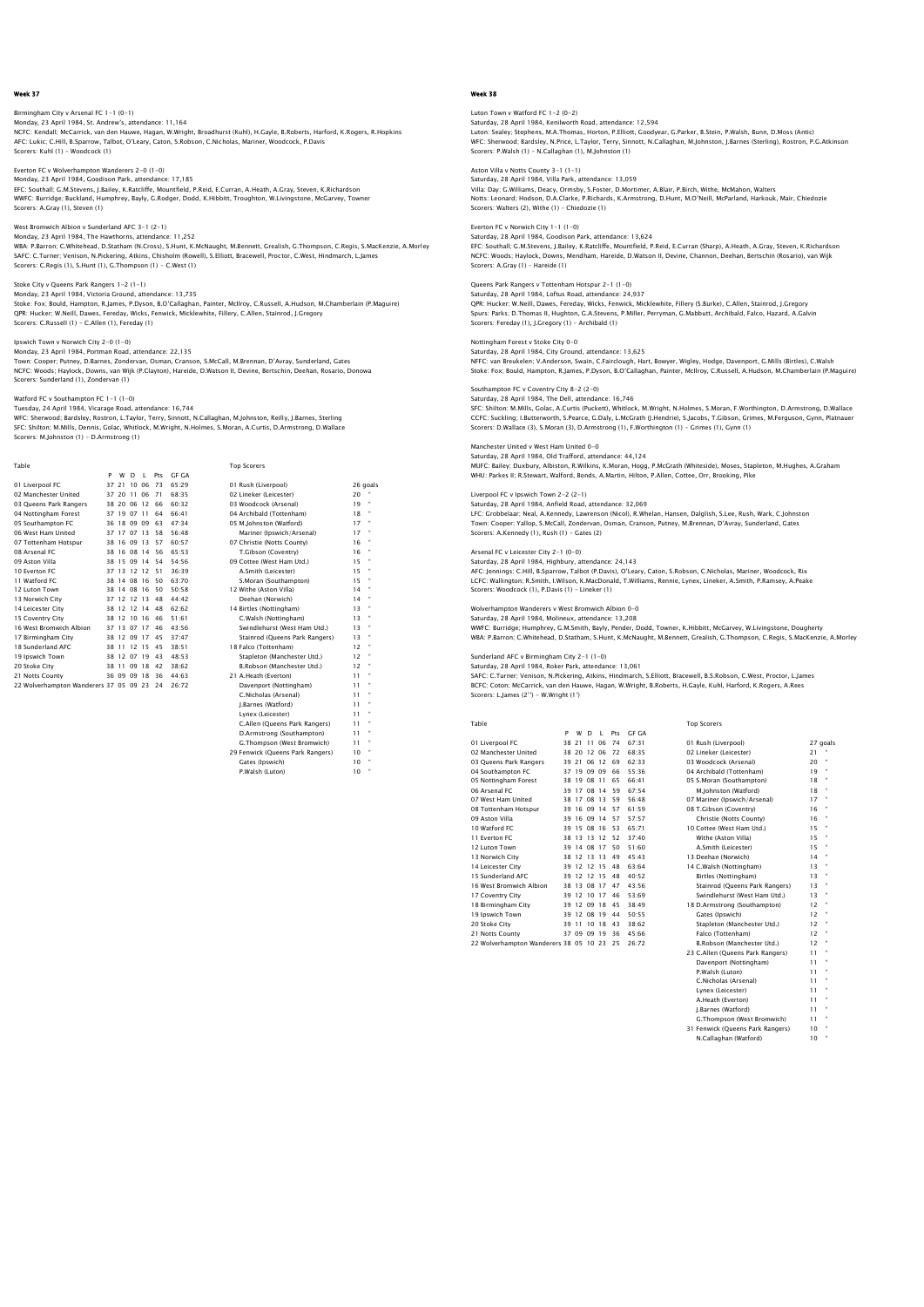Birmingham City v Arsenal FC 1–1 (0–1)<br>Monday, 23 April 1984, St. Andrew's, attendance: 11,164<br>NCFC: Kendall; McCarrick, van den Hauwe, Hagan, W.Wright, Broadhurst (Kuhl), H.Gayle, B.Roberts, Harford, K.Rogers, R.Hopkins AFC: Lukic; C.Hill, B.Sparrow, Talbot, O'Leary, Caton, S.Robson, C.Nicholas, Mariner, Woodcock, P.Davis Scorers: Kuhl (1) - Woodcock (1)

Everton FC v Wolverhampton Wanderers 2-0 (1-0) Monday, 23 April 1984, Goodison Park, attendance: 17,185

EFC: Southall; G.M.Stevens, J.Bailey, K.Ratcliffe, Mountfield, P.Reid, E.Curran, A.Heath, A.Gray, Steven, K.Richardson WWFC: Burridge; Buckland, Humphrey, Bayly, G.Rodger, Dodd, K.Hibbitt, Troughton, W.Livingstone, McGarvey, Towner Scorers: A.Gray (1), Steven (1)

West Bromwich Albion v Sunderland AFC 3-1 (2-1)

Monday, 23 April 1984, The Hawthorns, attendance: 11,252<br>WBA: P.Barron; C.Whitehead, D.Statham (N.Cross), S.Hunt, K.McNaught, M.Bennett, Grealish, G.Thompson, C.Regis, S.MacKenzie, A.Morley<br>SAFC: C.Turner; Venison, N.Picke

Stoke City v Queens Park Rangers 1-2 (1-1)

Monday, 23 April 1984, Victoria Ground, attendance: 13,735 Stoke: Fox; Bould, Hampton, R.James, P.Dyson, B.O'Callaghan, Painter, McIlroy, C.Russell, A.Hudson, M.Chamberlain (P.Maguire)<br>QPR: Hucker; W.Neill, Dawes, Fereday, Wicks, Fenwick, Micklewhite, Fillery, C.Allen, Stainrod, J

Ipswich Town v Norwich City 2-0 (1-0)

Monday, 23 April 1984, Portman Road, attendance: 22,135<br>Town: Cooper; Putney, D.Barnes, Zondervan, Osman, Cranson, S.McCall, M.Brennan, D'Avray, Sunderland, Gates<br>NCFC: Woods: Haylock, Downs, van Wijk (P.Clayton), Hareide, Scorers: Sunderland (1), Zondervan (1)

Watford FC v Southampton FC 1-1 (1-0)

Tuesday, 24 April 1984, Vicarage Road, attendance: 16,744<br>WFC: Sherwood; Bardsley, Rostron, L.Taylor, Terry, Sinnott, N.Callaghan, M.Johnston, Reilly, J.Barnes, Sterling<br>SFC: Shilton; M.Mills, Dennis, Golac, Whitlock, M.Wr Scorers: M.Johnston (1) - D.Armstrong (1)

|                         | P  | W           | D | $\mathbf{I}$ | Pts | <b>GF GA</b> |                                |    |          |
|-------------------------|----|-------------|---|--------------|-----|--------------|--------------------------------|----|----------|
| 01 Liverpool FC         |    | 37 21 10 06 |   |              | 73  | 65:29        | 01 Rush (Liverpool)            |    | 26 goals |
| 02 Manchester United    |    | 37 20 11 06 |   |              | 71  | 68:35        | 02 Lineker (Leicester)         | 20 |          |
| 03 Oueens Park Rangers  |    | 38 20 06 12 |   |              | 66  | 60:32        | 03 Woodcock (Arsenal)          | 19 |          |
| 04 Nottingham Forest    |    | 37 19 07 11 |   |              | 64  | 66:41        | 04 Archibald (Tottenham)       | 18 |          |
| 05 Southampton FC       |    | 36 18 09 09 |   |              | 63  | 47:34        | 05 M.Johnston (Watford)        | 17 |          |
| 06 West Ham United      |    | 37 17 07 13 |   |              | 58  | 56:48        | Mariner (Ipswich/Arsenal)      | 17 | $-44$    |
| 07 Tottenham Hotspur    |    | 38 16 09 13 |   |              | 57  | 60:57        | 07 Christie (Notts County)     | 16 |          |
| 08 Arsenal FC           |    |             |   | 38 16 08 14  | 56  | 65.53        | T.Gibson (Coventry)            | 16 |          |
| 09 Aston Villa          |    | 38 15 09 14 |   |              | 54  | 54:56        | 09 Cottee (West Ham Utd.)      | 15 |          |
| 10 Everton FC           |    | 37 13 12 12 |   |              | -51 | 36:39        | A.Smith (Leicester)            | 15 |          |
| 11 Watford FC           |    | 38 14 08 16 |   |              | 50  | 63:70        | S.Moran (Southampton)          | 15 |          |
| 12 Luton Town           |    | 38 14 08 16 |   |              | 50  | 50:58        | 12 Withe (Aston Villa)         | 14 |          |
| 13 Norwich City         |    | 37 12 12 13 |   |              | 48  | 44:42        | Deehan (Norwich)               | 14 |          |
| 14 Leicester City       |    |             |   | 38 12 12 14  | 48  | 62:62        | 14 Birtles (Nottingham)        | 13 |          |
| 15 Coventry City        |    | 38 12 10 16 |   |              | 46  | 51:61        | C.Walsh (Nottingham)           | 13 |          |
| 16 West Bromwich Albion |    | 37 13 07 17 |   |              | 46  | 43:56        | Swindlehurst (West Ham Utd.)   | 13 |          |
| 17 Birmingham City      |    | 38 12 09 17 |   |              | 45  | 37.47        | Stainrod (Queens Park Rangers) | 13 |          |
| 18 Sunderland AFC       | 38 | 11 12 15    |   |              | 45  | 38:51        | 18 Falco (Tottenham)           | 12 |          |

# Table Top Scorers

| .                                         |  |             |                |    |       |                                  | ⊷ັງ⊽ |   |
|-------------------------------------------|--|-------------|----------------|----|-------|----------------------------------|------|---|
| 02 Manchester United                      |  | 37 20 11 06 |                | 71 | 68:35 | 02 Lineker (Leicester)           | 20   | ٠ |
| 03 Oueens Park Rangers                    |  | 38 20 06 12 |                | 66 | 60.32 | 03 Woodcock (Arsenal)            | 19   | ٠ |
| 04 Nottingham Forest                      |  | 37 19 07 11 |                | 64 | 66:41 | 04 Archibald (Tottenham)         | 18   | ٠ |
| 05 Southampton FC                         |  | 36 18 09 09 |                | 63 | 47:34 | 05 M.Johnston (Watford)          | 17   | ٠ |
| 06 West Ham United                        |  | 37 17 07 13 |                | 58 | 56.48 | Mariner (Ipswich/Arsenal)        | 17   | ٠ |
| 07 Tottenham Hotspur                      |  | 38 16 09 13 |                | 57 | 60:57 | 07 Christie (Notts County)       | 16   |   |
| 08 Arsenal FC                             |  | 38 16 08 14 |                | 56 | 65.53 | T.Gibson (Coventry)              | 16   | ٠ |
| 09 Aston Villa                            |  |             | 38 15 09 14 54 |    | 54:56 | 09 Cottee (West Ham Utd.)        | 15   | ٠ |
| 10 Everton FC                             |  | 37 13 12 12 |                | 51 | 36:39 | A.Smith (Leicester)              | 15   | ۰ |
| 11 Watford FC                             |  | 38 14 08 16 |                | 50 | 63:70 | S.Moran (Southampton)            | 15   | ٠ |
| 12 Luton Town                             |  |             | 38 14 08 16 50 |    | 50:58 | 12 Withe (Aston Villa)           | 14   | ٠ |
| 13 Norwich City                           |  |             | 37 12 12 13 48 |    | 44:42 | Deehan (Norwich)                 | 14   |   |
| 14 Leicester City                         |  | 38 12 12 14 |                | 48 | 62:62 | 14 Birtles (Nottingham)          | 13   | ٠ |
| 15 Coventry City                          |  |             | 38 12 10 16 46 |    | 51:61 | C.Walsh (Nottingham)             | 13   | ۰ |
| 16 West Bromwich Albion                   |  |             | 37 13 07 17    | 46 | 43:56 | Swindlehurst (West Ham Utd.)     | 13   | ٠ |
| 17 Birmingham City                        |  |             | 38 12 09 17 45 |    | 37:47 | Stainrod (Queens Park Rangers)   | 13   | ٠ |
| 18 Sunderland AFC                         |  | 38 11 12 15 |                | 45 | 38:51 | 18 Falco (Tottenham)             | 12   | ٠ |
| 19 Ipswich Town                           |  |             | 38 12 07 19 43 |    | 48:53 | Stapleton (Manchester Utd.)      | 12   | ٠ |
| 20 Stoke City                             |  |             | 38 11 09 18 42 |    | 38:62 | B.Robson (Manchester Utd.)       | 12   | ٠ |
| 21 Notts County                           |  | 36 09 09 18 |                | 36 | 44:63 | 21 A.Heath (Everton)             | 11   |   |
| 22 Wolverhampton Wanderers 37 05 09 23 24 |  |             |                |    | 26:72 | Davenport (Nottingham)           | 11   | ٠ |
|                                           |  |             |                |    |       | C.Nicholas (Arsenal)             | 11   | ۰ |
|                                           |  |             |                |    |       | I.Barnes (Watford)               | 11   | ٠ |
|                                           |  |             |                |    |       | Lynex (Leicester)                | 11   | ٠ |
|                                           |  |             |                |    |       | C.Allen (Oueens Park Rangers)    | 11   | ٠ |
|                                           |  |             |                |    |       | D.Armstrong (Southampton)        | 11   | ۰ |
|                                           |  |             |                |    |       | G.Thompson (West Bromwich)       | 11   | ٠ |
|                                           |  |             |                |    |       | 29 Fenwick (Queens Park Rangers) | 10   | ٠ |
|                                           |  |             |                |    |       | Gates (Ipswich)                  | 10   |   |
|                                           |  |             |                |    |       | P.Walsh (Luton)                  | 10   |   |

Week 38

Luton Town v Watford FC 1–2 (0–2)<br>Saturday, 28 April 1984, Kenilworth Road, attendance: 12,594<br>Luton: Sealey; Stephens, M.A.Thomas, Horton, P.Elliott, Goodyear, G.Parker, B.Stein, P.Walsh, Bunn, D.Moss (Antic) WFC: Sherwood; Bardsley, N.Price, L.Taylor, Terry, Sinnott, N.Callaghan, M.Johnston, J.Barnes (Sterling), Rostron, P.G.Atkinsor<br>Scorers: P.Walsh (1) – N.Callaghan (1), M.Johnston (1)

# Aston Villa v Notts County 3-1 (1-1) Saturday, 28 April 1984, Villa Park, attendance: 13,059

Villa: Day; G.Williams, Deacy, Ormsby, S.Foster, D.Mortimer, A.Blair, P.Birch, Withe, McMahon, Walters Notts: Leonard; Hodson, D.A.Clarke, P.Richards, K.Armstrong, D.Hunt, M.O'Neill, McParland, Harkouk, Mair, Chiedozie Scorers: Walters (2), Withe (1) – Chiedozie (1)

#### Everton FC v Norwich City 1-1 (1-0) Saturday, 28 April 1984, Goodison Park, attendance: 13,624

EFC: Southall; G.M.Stevens, J.Bailey, K.Ratcliffe, Mountfield, P.Reid, E.Curran (Sharp), A.Heath, A.Gray, Steven, K.Richardson<br>NCFC: Woods; Haylock, Downs, Mendham, Hareide, D.Watson II, Devine, Channon, Deehan, Bertschin Scorers: A.Gray (1) – Hareide (1)

# Queens Park Rangers v Tottenham Hotspur 2-1 (1-0)

Saturday, 28 April 1984, Loftus Road, attendance: 24,937<br>QPR: Hucker; W.Neill, Dawes, Fereday, Wicks, Fenwick, Micklewhite, Fillery (S.Burke), C.Allen, Stainrod, J.Gregory<br>Spurs: Parks; D.Thomas II, Hughton, G.A.Stevens, P

## Nottingham Forest v Stoke City 0-0

Saturday, 28 April 1984, City Ground, attendance: 13,625<br>NFFC: van Breukelen; V.Anderson, Swain, C.Fairclough, Hart, Bowyer, Wigley, Hodge, Davenport, G.Mills (Birtles), C.Walsh<br>Stoke: Fox: Bould, Hampton, R.James, P.Dyson

#### Southampton FC v Coventry City 8-2 (2-0) Saturday, 28 April 1984, The Dell, attendance: 16,746

SFC: Shilton; M.Mills, Golac, A.Curtis (Puckett), Whitlock, M.Wright, N.Holmes, S.Moran, F.Worthington, D.Armstrong, D.Wallace<br>CCFC: Suckling: I.Butterworth, S.Pearce, G.Daly, L.McGrath (J.Hendrie), S.Jacobs, T.Gibson, Gri

# Manchester United v West Ham United 0-0

Saturday, 28 April 1984, Old Trafford, attendance: 44,124<br>MUFC: Bailey, Duxbury, Albiston, R.Wilkins, K.Moran, Hogg, P.McGrath (Whiteside), Moses, Stapleton, M.Hughes, A.Graham<br>WHU: Parkes II; R.Stewart, Walford, Bonds, A.

#### Liverpool FC v Ipswich Town 2-2 (2-1)

Saturday, 28 April 1984, Anfield Road, attendance: 32,069 LFC: Grobbelaar; Neal, A.Kennedy, Lawrenson (Nicol), R.Whelan, Hansen, Dalglish, S.Lee, Rush, Wark, C.Johnstor<br>Town: Cooper; Yallop, S.McCall, Zondervan, Osman, Cranson, Putney, M.Brennan, D'Avray, Sunderland, Gates Scorers: A.Kennedy (1), Rush (1) - Gates (2)

# Arsenal FC v Leicester City 2-1 (0-0)

Saturday, 28 April 1984, Highbury, attendance: 24,143 AFC: Jennings; C.Hill, B.Sparrow, Talbot (P.Davis), O'Leary, Caton, S.Robson, C.Nicholas, Mariner, Woodcock, Rix LCFC: Wallington; R.Smith, I.Wilson, K.MacDonald, T.Williams, Rennie, Lynex, Lineker, A.Smith, P.Ramsey, A.Peake Scorers: Woodcock (1), P.Davis (1) – Lineker (1)

## Wolverhampton Wanderers v West Bromwich Albion 0-0

Saturday, 28 April 1984, Molineux, attendance: 13,208<br>WWFC: Burridge; Humphrey, G.M.Smith, Bayly, Pender, Dodd, Towner, K.Hibbitt, McGarvey, W.Livingstone, Dougherty<br>WBA: P.Barron: C.Whitehead, D.Statham, S.Hunt, K.McNaugh

Sunderland AFC v Birmingham City 2–1 (1–0)<br>Saturday, 28 April 1984, Roker Park, attendance: 13,061<br>SAEC: C.Turner; Venison, N.Pickering, Atkins, Hindmarch, S.Elliott, Bracewell, B.S.Robson, C.West, Proctor, L.James<br>BCFC: C

| Table                                  |    |             |              |             |     |       | <b>Top Scorers</b>             |    |              |
|----------------------------------------|----|-------------|--------------|-------------|-----|-------|--------------------------------|----|--------------|
|                                        | P  | W           | <sup>D</sup> | т.          | Pts | GE GA |                                |    |              |
| 01 Liverpool FC                        | 38 | 21          | 11           | 06          | 74  | 67.31 | 01 Rush (Liverpool)            |    | 27 goals     |
| 02 Manchester United                   |    | 38 20       | 12 06        |             | 72  | 68.35 | 02 Lineker (Leicester)         | 21 |              |
| 03 Queens Park Rangers                 |    | 39 21       | 06           | 12          | 69  | 62:33 | 03 Woodcock (Arsenal)          | 20 |              |
| 04 Southampton FC                      |    | 37 19       |              | 09 09       | 66  | 55.36 | 04 Archibald (Tottenham)       | 19 |              |
| 05 Nottingham Forest                   |    | 38 19       | 08 11        |             | 65  | 66:41 | 05 S.Moran (Southampton)       | 18 | ٠            |
| 06 Arsenal FC                          |    | 39 17       |              | 08 14       | 59  | 67.54 | M.Johnston (Watford)           | 18 |              |
| 07 West Ham United                     |    |             |              | 38 17 08 13 | 59  | 56:48 | 07 Mariner (Ipswich/Arsenal)   | 17 |              |
| 08 Tottenham Hotspur                   |    | 39 16       |              | 09 14       | 57  | 61:59 | 08 T.Gibson (Coventry)         | 16 |              |
| 09 Aston Villa                         |    | 39 16       |              | 09 14       | 57  | 57:57 | Christie (Notts County)        | 16 |              |
| 10 Watford FC                          |    | 39 15       |              | 08 16       | 53  | 65:71 | 10 Cottee (West Ham Utd.)      | 15 |              |
| 11 Everton EC                          |    | 38 13       |              | 13 12       | 52  | 37.40 | Withe (Aston Villa)            | 15 |              |
| 12 Luton Town                          |    | 39 14       |              | 08 17       | 50  | 51:60 | A.Smith (Leicester)            | 15 | $\mathbf{a}$ |
| 13 Norwich City                        |    | 38 12       | 13 13        |             | 49  | 45.43 | 13 Deehan (Norwich)            | 14 |              |
| 14 Leicester City                      |    | 39 12       |              | 12 15       | 48  | 63.64 | 14 C.Walsh (Nottingham)        | 13 | ٠            |
| 15 Sunderland AFC                      |    | 39 12       | 12 15        |             | 48  | 40.52 | Birtles (Nottingham)           | 13 |              |
| 16 West Bromwich Albion                |    | 38 13 08 17 |              |             | 47  | 43.56 | Stainrod (Oueens Park Rangers) | 13 |              |
| 17 Coventry City                       |    | 39 12 10 17 |              |             | 46  | 53.69 | Swindlehurst (West Ham Utd.)   | 13 |              |
| 18 Birmingham City                     |    | 39 12 09 18 |              |             | 45  | 38:49 | 18 D.Armstrong (Southampton)   | 12 |              |
| 19 Ipswich Town                        |    | 39 12       |              | 08 19       | 44  | 50:55 | Gates (Ipswich)                | 12 | ٠            |
| 20 Stoke City                          |    | 39 11       |              | 10 18       | 43  | 38.62 | Stapleton (Manchester Utd.)    | 12 |              |
| 21 Notts County                        |    | 37 09       |              | 09 19       | 36  | 45:66 | Falco (Tottenham)              | 12 | ٠            |
| 22 Wolverhampton Wanderers 38 05 10 23 |    |             |              |             | 25  | 26:72 | B.Robson (Manchester Utd.)     | 12 |              |

| 01 Rush (Liverpool)              | 27q |   |
|----------------------------------|-----|---|
| 02 Lineker (Leicester)           | 21  |   |
| 03 Woodcock (Arsenal)            | 20  | ł |
| 04 Archibald (Tottenham)         | 19  | ł |
| 05 S.Moran (Southampton)         | 18  | ł |
| M.Iohnston (Watford)             | 18  | ł |
| 07 Mariner (Ipswich/Arsenal)     | 17  | ł |
| 08 T.Gibson (Coventry)           | 16  | ł |
| Christie (Notts County)          | 16  | ł |
| 10 Cottee (West Ham Utd.)        | 15  | ł |
| Withe (Aston Villa)              | 15  | ł |
| A.Smith (Leicester)              | 15  | ł |
| 13 Deehan (Norwich)              | 14  | ł |
| 14 C.Walsh (Nottingham)          | 13  | ł |
| Birtles (Nottingham)             | 13  | ł |
| Stainrod (Oueens Park Rangers)   | 13  | ł |
| Swindlehurst (West Ham Utd.)     | 13  | ł |
| 18 D.Armstrong (Southampton)     | 12  | ł |
| Gates (Ipswich)                  | 12  | ł |
| Stapleton (Manchester Utd.)      | 12  | ł |
| Falco (Tottenham)                | 12  | ł |
| B.Robson (Manchester Utd.)       | 12  | ł |
| 23 C.Allen (Queens Park Rangers) | 11  | ł |
| Davenport (Nottingham)           | 11  | ł |
| P.Walsh (Luton)                  | 11  | ł |
| C.Nicholas (Arsenal)             | 11  | ł |
| Lynex (Leicester)                | 11  | ł |
| A.Heath (Everton)                | 11  | ł |
| I.Barnes (Watford)               | 11  | ł |
| G.Thompson (West Bromwich)       | 11  | ł |
| 31 Fenwick (Queens Park Rangers) | 10  | ł |
| N.Callaghan (Watford)            | 10  | ı |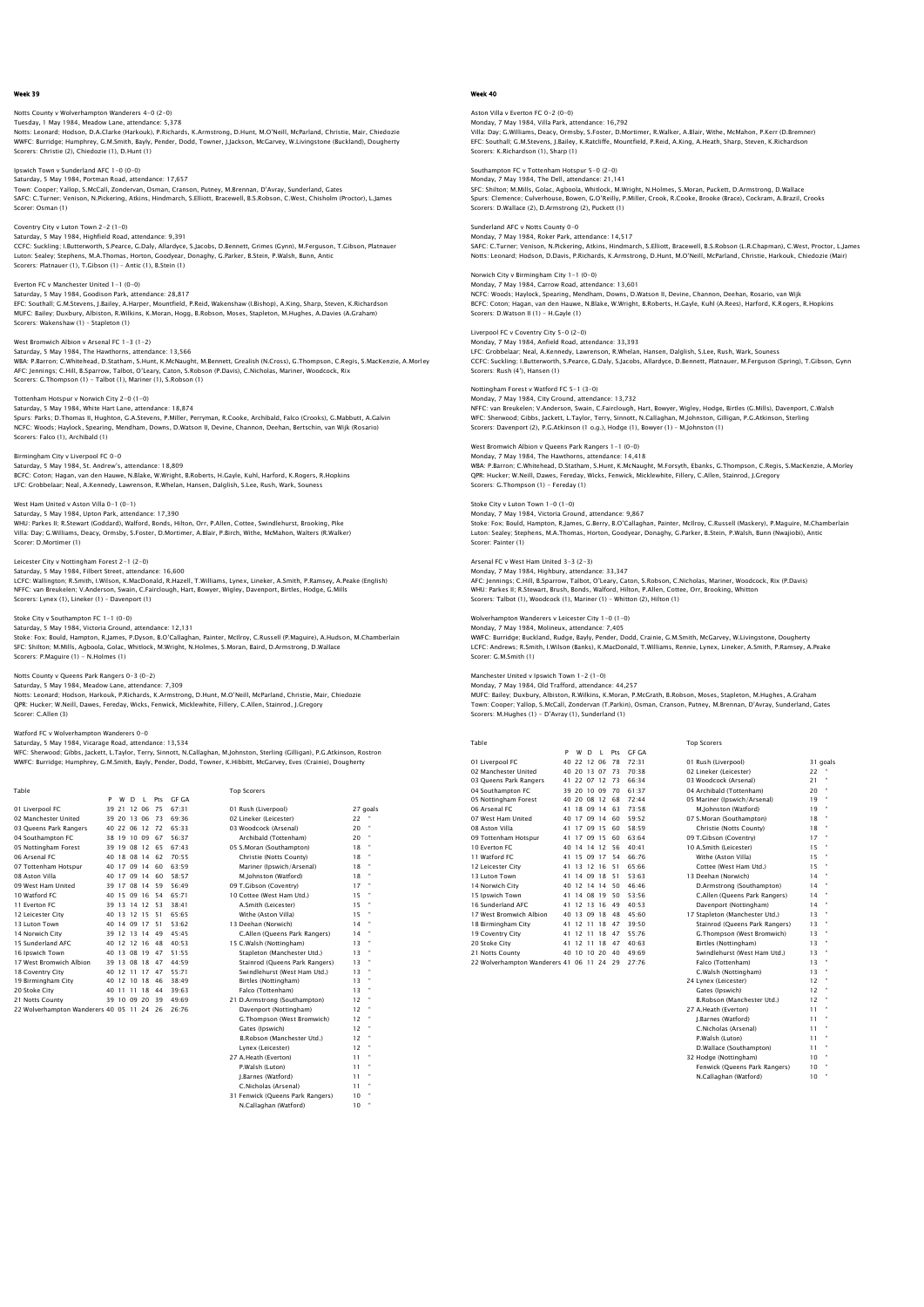# Notts County v Wolverhampton Wanderers 4–0 (2–0)<br>Tuesday, 1 May 1984, Meadow Lane, attendance: 5,378<br>Notts: Leonard; Hodson, D.A.Clarke (Harkouk), P.Richards, K.Armstrong, D.Hunt, M.O'Neill, McParland, Christie, Mair, Chie WWFC: Burridge; Humphrey, G.M.Smith, Bayly, Pender, Dodd, Towner, J.Jackson, McGarvey, W.Livingstone (Buckland), Dougherty Scorers: Christie (2), Chiedozie (1), D.Hunt (1)

Ipswich Town v Sunderland AFC 1-0 (0-0) Saturday, 5 May 1984, Portman Road, attendance: 17,657 Town: Cooper; Yallop, S.McCall, Zondervan, Osman, Cranson, Putney, M.Brennan, D'Avray, Sunderland, Gates<br>SAFC: C.Turner; Venison, N.Pickering, Atkins, Hindmarch, S.Elliott, Bracewell, B.S.Robson, C.West, Chisholm (Proctor) Scorer: Osman (1)

Coventry City v Luton Town 2-2 (1-0) Saturday, 5 May 1984, Highfield Road, attendance: 9,391<br>CCFC: Suckling: I.Butterworth, S.Pearce, G.Daly, Allardyce, S.Jacobs, D.Bennett, Grimes (Gynn), M.Ferguson, T.Gibson, Platnauer<br>Luton: Sealey; Stephens, M.A.Thomas, H

Everton FC v Manchester United 1-1 (0-0) Saturday, 5 May 1984, Goodison Park, attendance: 28,817 EFC: Southall; G.M.Stevens, J.Bailey, A.Harper, Mountfield, P.Reid, Wakenshaw (I.Bishop), A.King, Sharp, Steven, K.Richardson<br>MUFC: Bailey; Duxbury, Albiston, R.Wilkins, K.Moran, Hogg, B.Robson, Moses, Stapleton, M.Hughes,

West Bromwich Albion v Arsenal FC 1-3 (1-2) Saturday, 5 May 1984, The Hawthorns, attendance: 13,566<br>WBA: P.Barron; C.Whitehead, D.Statham, S.Hunt, K.McNaught, M.Bennett, Grealish (N.Cross), G.Thompson, C.Regis, S.MacKenzie, A.Morley<br>AFC: Jennings; C.Hill, B.Sparrow,

Tottenham Hotspur v Norwich City 2-0 (1-0) Saturday, 5 May 1984, White Hart Lane, attendance: 18,874 Spurs: Parks; D.Thomas II, Hughton, G.A.Stevens, P.Miller, Perryman, R.Cooke, Archibald, Falco (Crooks), G.Mabbutt, A.Galvin NCFC: Woods; Haylock, Spearing, Mendham, Downs, D.Watson II, Devine, Channon, Deehan, Bertschin, van Wijk (Rosario)

Birmingham City v Liverpool FC 0-0 Saturday, 5 May 1984, St. Andrew's, attendance: 18,809 BCFC: Coton; Hagan, van den Hauwe, N.Blake, W.Wright, B.Roberts, H.Gayle, Kuhl, Harford, K.Rogers, R.Hopkins<br>LFC: Grobbelaar; Neal, A.Kennedy, Lawrenson, R.Whelan, Hansen, Dalqlish, S.Lee, Rush, Wark, Souness

West Ham United v Aston Villa 0-1 (0-1) Saturday, 5 May 1984, Upton Park, attendance: 17,390<br>WHU: Parkes II; R.Stewart (Goddard), Walford, Bonds, Hilton, Orr, P.Allen, Cottee, Swindlehurst, Brooking, Pike<br>Villa: Day; G.Williams, Deacy, Ormsby, S.Foster, D.Mortim Scorer: D.Mortimer (1)

Scorers: Falco (1), Archibald (1)

Leicester City v Nottingham Forest 2–1 (2–0)<br>Saturday, 5 May 1984, Filbert Street, attendance: 16,600<br>LCFC: Wallington; R.Smith, I.Wilson, K.MacDonald, R.Hazell, T.Williams, Lynex, Lineker, A.Smith, P.Ramsey, A.Peake (Engl Scorers: Lynex (1), Lineker (1) – Davenport (1)

# Stoke City v Southampton FC 1–1 (0–0)<br>Saturday, 5 May 1984, Victoria Ground, attendance: 12,131<br>Stoke: Fox; Bould, Hampton, R.James, P.Dyson, B.O'Callaghan, Painter, McIlroy, C.Russell (P.Maguire), A.Hudson, M.Chamberlain SFC: Shilton; M.Mills, Agboola, Golac, Whitlock, M.Wright, N.Holmes, S.Moran, Baird, D.Armstrong, D.Wallace Scorers: P.Maguire (1) - N.Holmes (1)

Notts County v Queens Park Rangers 0-3 (0-2)<br>Saturday, 5 May 1984, Meadow Lane, attendance: 7,309<br>Notts: Leonard; Hodson, Harkouk, P.Richards, K.Armstrong, D.Hunt, M.O'Neill, McParland, Christie, Mair, Chiedozie QPR: Hucker; W.Neill, Dawes, Fereday, Wicks, Fenwick, Micklewhite, Fillery, C.Allen, Stainrod, J.Gregory Scorer: C.Allen (3)

# Watford FC v Wolverhampton Wanderers 0-0

Saturday, 5 May 1984, Vicarage Road, attendance: 13,534 WFC: Sherwood; Gibbs, Jackett, L.Taylor, Terry, Sinnott, N.Callaghan, M.Johnston, Sterling (Gilligan), P.G.Atkinson, Rostron<br>WWFC: Burridge; Humphrey, G.M.Smith, Bayly, Pender, Dodd, Towner, K.Hibbitt, McGarvey, Eves (Crai

| Table                                  |    |             |       |    |     |       | <b>Top Scorers</b>             |    |           |
|----------------------------------------|----|-------------|-------|----|-----|-------|--------------------------------|----|-----------|
|                                        | P  | w           | D     | т. | Pts | GE GA |                                |    |           |
| 01 Liverpool FC                        | 39 | 21          | 12 06 |    | 75  | 67.31 | 01 Rush (Liverpool)            |    | 27 goals  |
| 02 Manchester United                   |    | 39 20 13 06 |       |    | 73  | 69.36 | 02 Lineker (Leicester)         | 22 |           |
| 03 Oueens Park Rangers                 |    | 40 22 06 12 |       |    | 72  | 65.33 | 03 Woodcock (Arsenal)          | 20 |           |
| 04 Southampton FC                      |    | 38 19 10 09 |       |    | 67  | 56.37 | Archibald (Tottenham)          | 20 |           |
| 05 Nottingham Forest                   |    | 39 19 08 12 |       |    | 65  | 67.43 | 05 S.Moran (Southampton)       | 18 | $\bullet$ |
| 06 Arsenal FC                          |    | 40 18 08 14 |       |    | 62  | 70.55 | Christie (Notts County)        | 18 |           |
| 07 Tottenham Hotspur                   |    | 40 17 09 14 |       |    | 60  | 63.59 | Mariner (Ipswich/Arsenal)      | 18 | ×,        |
| 08 Aston Villa                         |    | 40 17 09 14 |       |    | 60  | 58.57 | M.Johnston (Watford)           | 18 |           |
| 09 West Ham United                     |    | 39 17 08 14 |       |    | 59  | 56.49 | 09 T.Gibson (Coventry)         | 17 | $\bullet$ |
| 10 Watford FC                          |    | 40 15 09 16 |       |    | 54  | 65.71 | 10 Cottee (West Ham Utd.)      | 15 |           |
| 11 Everton EC                          |    | 39 13 14 12 |       |    | 53  | 38:41 | A.Smith (Leicester)            | 15 |           |
| 12 Leicester City                      |    | 40 13 12 15 |       |    | 51  | 65.65 | Withe (Aston Villa)            | 15 |           |
| 13 Luton Town                          |    | 40 14 09 17 |       |    | 51  | 53.62 | 13 Deehan (Norwich)            | 14 |           |
| 14 Norwich City                        |    | 39 12 13 14 |       |    | 49  | 45:45 | C.Allen (Oueens Park Rangers)  | 14 |           |
| 15 Sunderland AFC                      |    | 40 12 12 16 |       |    | 48  | 40:53 | 15 C.Walsh (Nottingham)        | 13 |           |
| 16 Ipswich Town                        |    | 40 13 08 19 |       |    | 47  | 51.55 | Stapleton (Manchester Utd.)    | 13 |           |
| 17 West Bromwich Albion                |    | 39 13 08 18 |       |    | 47  | 44.59 | Stainrod (Oueens Park Rangers) | 13 |           |
| 18 Coventry City                       |    | 40 12 11 17 |       |    | 47  | 55:71 | Swindlehurst (West Ham Utd.)   | 13 |           |
| 19 Birmingham City                     |    | 40 12 10 18 |       |    | 46  | 38:49 | Birtles (Nottingham)           | 13 |           |
| 20 Stoke City                          | 40 | 11          | 11 18 |    | 44  | 39.63 | Falco (Tottenham)              | 13 | $\bullet$ |
| 21 Notts County                        |    | 39 10 09 20 |       |    | 39  | 49:69 | 21 D.Armstrong (Southampton)   | 12 |           |
| 22 Wolverhampton Wanderers 40 05 11 24 |    |             |       |    | 26  | 26.76 | Davenport (Nottingham)         | 12 |           |
|                                        |    |             |       |    |     |       | G.Thompson (West Bromwich)     | 12 |           |

| u i Eiveipuui i C                      |  | JJ 41 14 UU |                |     |       | <b>VI KUSII (LIVEI DUUI)</b>     | 21 YU |   |
|----------------------------------------|--|-------------|----------------|-----|-------|----------------------------------|-------|---|
| 02 Manchester United                   |  |             | 39 20 13 06 73 |     | 69.36 | 02 Lineker (Leicester)           | 22    | ٠ |
| 03 Queens Park Rangers                 |  | 40 22 06 12 |                | 72  | 65:33 | 03 Woodcock (Arsenal)            | 20    | ٠ |
| 04 Southampton FC                      |  |             | 38 19 10 09    | 67  | 56:37 | Archibald (Tottenham)            | 20    | ٠ |
| 05 Nottingham Forest                   |  |             | 39 19 08 12    | 65  | 67:43 | 05 S.Moran (Southampton)         | 18    | ٠ |
| 06 Arsenal FC                          |  |             | 40 18 08 14 62 |     | 70:55 | Christie (Notts County)          | 18    | ۰ |
| 07 Tottenham Hotspur                   |  |             | 40 17 09 14    | 60  | 63:59 | Mariner (Ipswich/Arsenal)        | 18    | ٠ |
| 08 Aston Villa                         |  |             | 40 17 09 14    | 60  | 58:57 | M.Johnston (Watford)             | 18    | ٠ |
| 09 West Ham United                     |  |             | 39 17 08 14    | 59  | 56:49 | 09 T.Gibson (Coventry)           | 17    | ٠ |
| 10 Watford FC                          |  | 40 15 09 16 |                | 54  | 65:71 | 10 Cottee (West Ham Utd.)        | 15    | ۰ |
| 11 Everton FC                          |  | 39 13 14 12 |                | 53  | 38:41 | A.Smith (Leicester)              | 15    | ٠ |
| 12 Leicester City                      |  | 40 13 12 15 |                | -51 | 65.65 | Withe (Aston Villa)              | 15    | ٠ |
| 13 Luton Town                          |  |             | 40 14 09 17    | 51  | 53:62 | 13 Deehan (Norwich)              | 14    | ٠ |
| 14 Norwich City                        |  |             | 39 12 13 14    | 49  | 45:45 | C.Allen (Queens Park Rangers)    | 14    | ۰ |
| 15 Sunderland AFC                      |  |             | 40 12 12 16 48 |     | 40:53 | 15 C.Walsh (Nottingham)          | 13    | ٠ |
| 16 Ipswich Town                        |  | 40 13 08 19 |                | 47  | 51:55 | Stapleton (Manchester Utd.)      | 13    | ٠ |
| 17 West Bromwich Albion                |  |             | 39 13 08 18 47 |     | 44:59 | Stainrod (Oueens Park Rangers)   | 13    | ٠ |
| 18 Coventry City                       |  |             | 40 12 11 17    | 47  | 55:71 | Swindlehurst (West Ham Utd.)     | 13    | ٠ |
| 19 Birmingham City                     |  |             | 40 12 10 18    | 46  | 38:49 | Birtles (Nottingham)             | 13    | ۰ |
| 20 Stoke City                          |  |             | 40 11 11 18    | 44  | 39:63 | Falco (Tottenham)                | 13    | ٠ |
| 21 Notts County                        |  | 39 10 09 20 |                | 39  | 49:69 | 21 D.Armstrong (Southampton)     | 12    | ۰ |
| 22 Wolverhampton Wanderers 40 05 11 24 |  |             |                | 26  | 26:76 | Davenport (Nottingham)           | 12    | ٠ |
|                                        |  |             |                |     |       | G.Thompson (West Bromwich)       | 12    | ٠ |
|                                        |  |             |                |     |       | Gates (Ipswich)                  | 12    | ٠ |
|                                        |  |             |                |     |       | B.Robson (Manchester Utd.)       | 12    | ٠ |
|                                        |  |             |                |     |       | Lynex (Leicester)                | 12    | ٠ |
|                                        |  |             |                |     |       | 27 A.Heath (Everton)             | 11    | ٠ |
|                                        |  |             |                |     |       | P.Walsh (Luton)                  | 11    | ٠ |
|                                        |  |             |                |     |       | J.Barnes (Watford)               | 11    | ٠ |
|                                        |  |             |                |     |       | C.Nicholas (Arsenal)             | 11    | ٠ |
|                                        |  |             |                |     |       | 31 Fenwick (Queens Park Rangers) | 10    | ٠ |

N.Callaghan (Watford) 10 "

# Week 40

Aston Villa v Everton FC 0–2 (0–0)<br>Monday, 7 May 1984, Villa Park, attendance: 16,792<br>Villa: Day; G.Williams, Deacy, Ormsby, S.Foster, D.Mortimer, R.Walker, A.Blair, Withe, McMahon, P.Kerr (D.Bremner) EFC: Southall; G.M.Stevens, J.Bailey, K.Ratcliffe, Mountfield, P.Reid, A.King, A.Heath, Sharp, Steven, K.Richardson Scorers: K.Richardson (1), Sharp (1)

Southampton FC v Tottenham Hotspur 5-0 (2-0) Monday, 7 May 1984, The Dell, attendance: 21,141

SFC: Shilton; M.Mills, Golac, Agboola, Whitlock, M.Wright, N.Holmes, S.Moran, Puckett, D.Armstrong, D.Wallace Spurs: Clemence; Culverhouse, Bowen, G.O'Reilly, P.Miller, Crook, R.Cooke, Brooke (Brace), Cockram, A.Brazil, Crooks Scorers: D.Wallace (2), D.Armstrong (2), Puckett (1)

#### Sunderland AFC v Notts County 0-0 Monday, 7 May 1984, Roker Park, attendance: 14,517

SAFC: C.Turner; Venison, N.Pickering, Atkins, Hindmarch, S.Elliott, Bracewell, B.S.Robson (L.R.Chapman), C.West, Proctor, L.James Notts: Leonard; Hodson, D.Davis, P.Richards, K.Armstrong, D.Hunt, M.O'Neill, McParland, Christie, Harkouk, Chiedozie (Mair)

Norwich City v Birmingham City 1-1 (0-0)

Monday, 7 May 1984, Carrow Road, attendance: 13,601 NCFC: Woods; Haylock, Spearing, Mendham, Downs, D.Watson II, Devine, Channon, Deehan, Rosario, van Wijk<br>BCFC: Coton; Hagan, van den Hauwe, N.Blake, W.Wright, B.Roberts, H.Gayle, Kuhl (A.Rees), Harford, K.Rogers, R.Hopkins<br>

Liverpool FC v Coventry City 5-0 (2-0)

Monday, 7 May 1984, Anfield Road, attendance: 33,393 LFC: Grobbelaar; Neal, A.Kennedy, Lawrenson, R.Whelan, Hansen, Dalglish, S.Lee, Rush, Wark, Souness CCFC: Suckling; I.Butterworth, S.Pearce, G.Daly, S.Jacobs, Allardyce, D.Bennett, Platnauer, M.Ferguson (Spring), T.Gibson, Gynn Scorers: Rush (4'), Hansen (1)

## Nottingham Forest v Watford FC 5-1 (3-0)

Monday, 7 May 1984, City Ground, attendance: 13,732 NFFC: van Breukelen; V.Anderson, Swain, C.Fairclough, Hart, Bowyer, Wigley, Hodge, Birtles (G.Mills), Davenport, C.Walsh<br>WFC: Sherwood; Gibbs, Jackett, L.Taylor, Terry, Sinnott, N.Callaghan, M.Johnston, Gilligan, P.G.Atkin

# West Bromwich Albion v Queens Park Rangers 1-1 (0-0)

Monday, 7 May 1984, The Hawthorns, attendance: 14,418<br>WBA: P.Barron; C.Whitehead, D.Statham, S.Hunt, K.McNaught, M.Forsyth, Ebanks, G.Thompson, C.Regis, S.MacKenzie, A.Morley<br>QPR: Hucker; W.Neill, Dawes, Fereday (Wicks, Fe

# Stoke City v Luton Town 1-0 (1-0)

Monday, 7 May 1984, Victoria Ground, attendance: 9,867<br>Stoke: Fox; Bould, Hampton, R.James, G.Berry, B.O'Callaghan, Painter, McIlroy, C.Russell (Maskery), P.Maguire, M.Chamberlain<br>Luton: Sealey: Stephens, M.A.Thomas, Horto Scorer: Painter (1)

## Arsenal FC v West Ham United 3-3 (2-3)

Monday, 7 May 1984, Highbury, attendance: 33,347 AFC: Jennings; C.Hill, B.Sparrow, Talbot, O'Leary, Caton, S.Robson, C.Nicholas, Mariner, Woodcock, Rix (P.Davis) WHU: Parkes II; R.Stewart, Brush, Bonds, Walford, Hilton, P.Allen, Cottee, Orr, Brooking, Whitton Scorers: Talbot (1), Woodcock (1), Mariner (1) – Whitton (2), Hilton (1)

# npton Wanderers v Leicester City 1-0 (1-0)

Monday, 7 May 1984, Molineux, attendance: 7,405 WWFC: Burridge; Buckland, Rudge, Bayly, Pender, Dodd, Crainie, G.M.Smith, McGarvey, W.Livingstone, Dougherty LCFC: Andrews; R.Smith, I.Wilson (Banks), K.MacDonald, T.Williams, Rennie, Lynex, Lineker, A.Smith, P.Ramsey, A.Peake Scorer: G.M.Smith (1)

Manchester United v Ipswich Town 1-2 (1-0)

Monday, 7 May 1984, Old Trafford, attendance: 44,257 MUFC: Bailey; Duxbury, Albiston, R.Wilkins, K.Moran, P.McGrath, B.Robson, Moses, Stapleton, M.Hughes, A.Graham Town: Cooper; Yallop, S.McCall, Zondervan (T.Parkin), Osman, Cranson, Putney, M.Brennan, D'Avray, Sunderland, Gates Scorers: M.Hughes (1) - D'Avray (1), Sunderland (1)

| Table                                  |    |             |              |             |     |       | <b>Top Scorers</b>             |    |              |
|----------------------------------------|----|-------------|--------------|-------------|-----|-------|--------------------------------|----|--------------|
|                                        | P  | w           | <sup>D</sup> | L.          | Pts | GE GA |                                |    |              |
| 01 Liverpool FC                        | 40 | 22          | 12 06        |             | 78  | 72.31 | 01 Rush (Liverpool)            |    | 31 goals     |
| 02 Manchester United                   |    | 40 20       | 13 07        |             | 73  | 70.38 | 02 Lineker (Leicester)         | 22 |              |
| 03 Oueens Park Rangers                 | 41 |             | 22 07 12     |             | 73  | 66:34 | 03 Woodcock (Arsenal)          | 21 | $\mathbf{a}$ |
| 04 Southampton FC                      |    | 39 20       |              | 10 09       | 70  | 61.37 | 04 Archibald (Tottenham)       | 20 |              |
| 05 Nottingham Forest                   |    | 40 20 08 12 |              |             | 68  | 72.44 | 05 Mariner (Ipswich/Arsenal)   | 19 | ٠            |
| 06 Arsenal FC                          |    | 41 18 09 14 |              |             | 63  | 73.58 | M.Johnston (Watford)           | 19 |              |
| 07 West Ham United                     |    |             |              | 40 17 09 14 | 60  | 59.52 | 07 S.Moran (Southampton)       | 18 |              |
| 08 Aston Villa                         |    | 41 17       |              | 09 15       | 60  | 58.59 | Christie (Notts County)        | 18 |              |
| 09 Tottenham Hotspur                   |    | 41 17       |              | 09 15       | 60  | 63.64 | 09 T.Gibson (Coventry)         | 17 |              |
| 10 Everton EC                          |    | 40 14       |              | 14 12       | 56  | 40.41 | 10 A.Smith (Leicester)         | 15 | ٠            |
| 11 Watford FC                          |    | 41 15       |              | 09 17       | 54  | 66:76 | Withe (Aston Villa)            | 15 |              |
| 12 Leicester City                      | 41 | 13          |              | 12 16       | 51  | 65.66 | Cottee (West Ham Utd.)         | 15 | $\alpha$     |
| 13 Luton Town                          | 41 | 14          |              | 09 18       | 51  | 53.63 | 13 Deehan (Norwich)            | 14 |              |
| 14 Norwich City                        |    | 40 12       |              | 14 14       | 50  | 46.46 | D.Armstrong (Southampton)      | 14 | $\mathbf{a}$ |
| 15 Ipswich Town                        | 41 | 14          |              | 08 19       | 50  | 53.56 | C.Allen (Oueens Park Rangers)  | 14 |              |
| 16 Sunderland AFC                      | 41 | 12          | 13 16        |             | 49  | 40.53 | Davenport (Nottingham)         | 14 |              |
| 17 West Bromwich Albion                |    | 40 13       |              | 09 18       | 48  | 45:60 | 17 Stapleton (Manchester Utd.) | 13 |              |
| 18 Birmingham City                     |    | 41 12       | 11 18        |             | 47  | 39:50 | Stainrod (Queens Park Rangers) | 13 |              |
| 19 Coventry City                       |    | 41 12       | 11 18        |             | 47  | 55.76 | G.Thompson (West Bromwich)     | 13 |              |
| 20 Stoke City                          | 41 | 12          | 11           | 18          | 47  | 40.63 | Birtles (Nottingham)           | 13 |              |
| 21 Notts County                        |    | 40 10       | 10           | 20          | 40  | 49:69 | Swindlehurst (West Ham Utd.)   | 13 |              |
| 22 Wolverhampton Wanderers 41 06 11 24 |    |             |              |             | 29  | 27:76 | Falco (Tottenham)              | 13 |              |

| 01 Rush (Liverpool)            |           | 31 qo.   |
|--------------------------------|-----------|----------|
| 02 Lineker (Leicester)         | 22        |          |
| 03 Woodcock (Arsenal)          | 21        | $\alpha$ |
| 04 Archibald (Tottenham)       | 20        | $\alpha$ |
| 05 Mariner (Ipswich/Arsenal)   | 19        | $\alpha$ |
| M.Johnston (Watford)           | 19        | $\alpha$ |
| 07 S.Moran (Southampton)       | 18        | $\alpha$ |
| Christie (Notts County)        | 18        | $\alpha$ |
| 09 T.Gibson (Coventry)         | 17        | $\alpha$ |
| 10 A.Smith (Leicester)         | 15        | ×        |
| Withe (Aston Villa)            | 15        | ×        |
| Cottee (West Ham Utd.)         | 15        | $\alpha$ |
| 13 Deehan (Norwich)            | 14        | $\alpha$ |
| D.Armstrong (Southampton)      | 14        | $\alpha$ |
| C.Allen (Queens Park Rangers)  | 14        | $\alpha$ |
| Davenport (Nottingham)         | 14        | $\alpha$ |
| 17 Stapleton (Manchester Utd.) | 13        | $\alpha$ |
| Stainrod (Queens Park Rangers) | 13        | $\alpha$ |
| G.Thompson (West Bromwich)     | 13        | $\alpha$ |
| Birtles (Nottingham)           | 13        | $\alpha$ |
| Swindlehurst (West Ham Utd.)   | 13        | $\alpha$ |
| Falco (Tottenham)              | 13        | $\alpha$ |
| C.Walsh (Nottingham)           | 13        | $\alpha$ |
| 24 Lynex (Leicester)           | $12^{12}$ | $\alpha$ |
| Gates (Ipswich)                | 12        | $\alpha$ |
| B.Robson (Manchester Utd.)     | 12        | $\alpha$ |
| 27 A.Heath (Everton)           | 11        | $\alpha$ |
| I.Barnes (Watford)             | 11        | ×        |
| C.Nicholas (Arsenal)           | 11        | $\alpha$ |
| P.Walsh (Luton)                | 11        | $\alpha$ |
| D.Wallace (Southampton)        | 11        | $\alpha$ |
| 32 Hodge (Nottingham)          | 10        | $\alpha$ |
| Fenwick (Oueens Park Rangers)  | 10        | ×        |
| N.Callaghan (Watford)          | 10        | $\alpha$ |
|                                |           |          |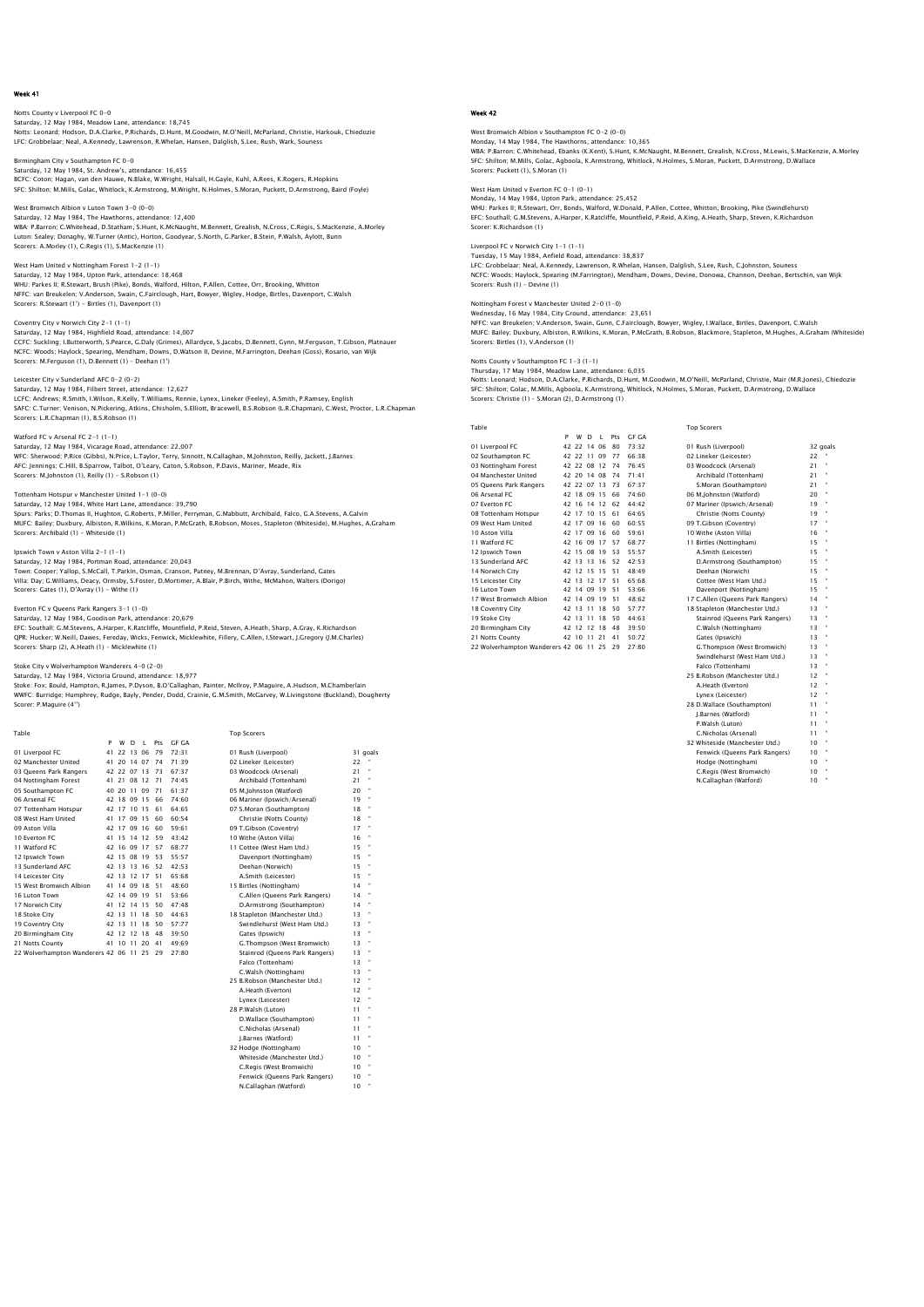Notts County v Liverpool FC 0-0<br>Saturday, 12 May 1984, Meadow Lane, attendance: 18,745<br>Notts: Leonard; Hodson, D.A.Clarke, P.Richards, D.Hunt, M.Goodwin, M.O'Neill, McParland, Christie, Harkouk, Chiedozie LFC: Grobbelaar; Neal, A.Kennedy, Lawrenson, R.Whelan, Hansen, Dalglish, S.Lee, Rush, Wark, Souness

Birmingham City v Southampton FC 0-0<br>Saturday, 12 May 1984, St. Andrew's, attendance: 16,455<br>BCFC: Coton; Haqan, van den Hauwe, N.Blake, W.Wright, Halsall, H.Gayle, Kuhl, A.Rees, K.Rogers, R.Hopkins SFC: Shilton; M.Mills, Golac, Whitlock, K.Armstrong, M.Wright, N.Holmes, S.Moran, Puckett, D.Armstrong, Baird (Foyle)

West Bromwich Albion v Luton Town 3-0 (0-0) Saturday, 12 May 1984, The Hawthorns, attendance: 12,400 WBA: P.Barron; C.Whitehead, D.Statham, S.Hunt, K.McNaught, M.Bennett, Grealish, N.Cross, C.Regis, S.MacKenzie, A.Morley Luton: Sealey; Donaghy, W.Turner (Antic), Horton, Goodyear, S.North, G.Parker, B.Stein, P.Walsh, Aylott, Bunn Scorers: A.Morley (1), C.Regis (1), S.MacKenzie (1)

West Ham United v Nottingham Forest 1-2 (1-1) Saturday, 12 May 1984, Upton Park, attendance: 18.468 WHU: Parkes II; R.Stewart, Brush (Pike), Bonds, Walford, Hilton, P.Allen, Cottee, Orr, Brooking, Whitton NFFC: van Breukelen; V.Anderson, Swain, C.Fairclough, Hart, Bowyer, Wigley, Hodge, Birtles, Davenport, C.Walsh Scorers: R.Stewart (1') - Birtles (1), Davenport (1)

Coventry City v Norwich City 2-1 (1-1) Saturday, 12 May 1984, Highfield Road, attendance: 14,007 CCFC: Suckling: I.Butterworth, S.Pearce, G.Daly (Grimes), Allardyce, S.Jacobs, D.Bennett, Gynn, M.Ferguson, T.Gibson, Platnauer<br>NCFC: Woods; Haylock, Spearing, Mendham, Downs, D.Watson II, Devine, M.Farrington, Deehan (Gos

# Leicester City v Sunderland AFC 0-2 (0-2)

Saturday, 12 May 1984, Filbert Street, attendance: 12,627<br>LCFC: Andrews; R.Smith, I.Wilson, R.Kelly, T.Williams, Rennie, Lynex, Lineker (Feeley), A.Smith, P.Ramsey, English<br>SAFC: C.Turner; Venison, N.Pickering, Atkins, Chi

# Watford FC v Arsenal FC 2-1 (1-1)

Saturday, 12 May 1984, Vicarage Road, attendance: 22,007<br>WFC: Sherwood; P.Rice (Gibbs), N.Price, L.Taylor, Terry, Sinnott, N.Callaghan, M.Johnston, Reilly, Jackett, J.Barnes<br>AFC: Jennings; C.Hill, B.Sparrow, Talbot, O'Lear Scorers: M.Johnston (1), Reilly (1) - S.Robson (1)

#### Tottenham Hotspur v Manchester United 1-1 (0-0)

Saturday, 12 May 1984, White Hart Lane, attendance: 39,790 Spurs: Parks; D.Thomas II, Hughton, G.Roberts, P.Miller, Perryman, G.Mabbutt, Archibald, Falco, G.A.Stevens, A.Galvin<br>MUFC: Bailey; Duxbury, Albiston, R.Wilkins, K.Moran, P.McGrath, B.Robson, Moses, Stapleton (Whiteside), Scorers: Archibald (1) - Whiteside (1)

# Ipswich Town v Aston Villa 2-1 (1-1)

Saturday, 12 May 1984, Portman Road, attendance: 20,043<br>Town: Cooper; Yallop, S.McCall, T.Parkin, Osman, Cranson, Putney, M.Brennan, D'Avray, Sunderland, Gates<br>Villa: Day: G.Williams, Deacy, Ormsby, S.Foster, D.Mortimer, A

## Everton FC v Queens Park Rangers 3-1 (1-0)

Saturday, 12 May 1984, Goodison Park, attendance: 20,679<br>EFC: Southall; G.M.Stevens, A.Harper, K.Ratcliffe, Mounfield, P.Reid, Steven, A.Heath, Sharp, A.Gray, K.Richardson<br>QPR: Hucker; W.Neill, Dawes, Fereday, Wicks, Fenwi Scorers: Sharp (2), A.Heath (1) - Micklewhite (1)

Stoke City v Wolverhampton Wanderers 4–0 (2–0)<br>Saturday, 12 May 1984, Victoria Ground, attendance: 18,977<br>Stoke: Fox; Bould, Hampton, R.James, P.Dyson, B.O'Callaghan, Painter, McIlroy, P.Maguire, A.Hudson, M.Chamberlain WWFC: Burridge; Humphrey, Rudge, Bayly, Pender, Dodd, Crainie, G.M.Smith, McGarvey, W.Livingstone (Buckland), Dougherty Scorer: P.Maguire (4'')

| Table                                  |    |             |          |             |     |           | <b>Top Scorers</b>             |    |           |
|----------------------------------------|----|-------------|----------|-------------|-----|-----------|--------------------------------|----|-----------|
|                                        | P  | w           | D.       |             | Pts | GE GA     |                                |    |           |
| 01 Liverpool FC                        | 41 |             | 22 13 06 |             | 79  | $72 - 31$ | 01 Rush (Liverpool)            |    | 31 goals  |
| 02 Manchester United                   | 41 |             | 20 14 07 |             | 74  | 71.39     | 02 Lineker (Leicester)         | 22 |           |
| 03 Oueens Park Rangers                 |    | 42 22 07 13 |          |             | 73  | 67.37     | 03 Woodcock (Arsenal)          | 21 |           |
| 04 Nottingham Forest                   |    | 41 21 08 12 |          |             | 71  | 74.45     | Archibald (Tottenham)          | 21 |           |
| 05 Southampton FC                      |    | 40 20 11 09 |          |             | 71  | 61.37     | 05 M.Johnston (Watford)        | 20 | $\bullet$ |
| 06 Arsenal FC                          |    | 42 18 09 15 |          |             | 66  | 74.60     | 06 Mariner (Ipswich/Arsenal)   | 19 |           |
| 07 Tottenham Hotspur                   |    |             |          | 42 17 10 15 | 61  | 64.65     | 07 S.Moran (Southampton)       | 18 |           |
| 08 West Ham United                     |    | 41 17 09 15 |          |             | 60  | 60.54     | Christie (Notts County)        | 18 |           |
| 09 Aston Villa                         |    | 42 17 09 16 |          |             | 60  | 59.61     | 09 T.Gibson (Coventry)         | 17 |           |
| 10 Everton EC                          |    | 41 15 14 12 |          |             | 59  | 43:42     | 10 Withe (Aston Villa)         | 16 |           |
| 11 Watford FC                          |    | 42 16 09 17 |          |             | 57  | 68.77     | 11 Cottee (West Ham Utd.)      | 15 |           |
| 12 Ipswich Town                        |    | 42 15 08 19 |          |             | 53  | 55:57     | Davenport (Nottingham)         | 15 |           |
| 13 Sunderland AFC                      |    | 42 13 13 16 |          |             | 52  | 42.53     | Deehan (Norwich)               | 15 |           |
| 14 Leicester City                      |    | 42 13 12 17 |          |             | 51  | 65.68     | A.Smith (Leicester)            | 15 |           |
| 15 West Bromwich Albion                |    | 41 14 09 18 |          |             | 51  | 48:60     | 15 Birtles (Nottingham)        | 14 | $\bullet$ |
| 16 Luton Town                          |    | 42 14 09 19 |          |             | 51  | 53.66     | C.Allen (Queens Park Rangers)  | 14 |           |
| 17 Norwich City                        |    | 41 12 14 15 |          |             | 50  | 47.48     | D.Armstrong (Southampton)      | 14 |           |
| 18 Stoke City                          |    | 42 13 11 18 |          |             | 50  | 44.63     | 18 Stapleton (Manchester Utd.) | 13 |           |
| 19 Coventry City                       |    | 42 13 11 18 |          |             | 50  | $57 - 77$ | Swindlehurst (West Ham Utd.)   | 13 |           |
| 20 Birmingham City                     |    | 42 12 12 18 |          |             | 48  | 39:50     | Gates (Ipswich)                | 13 |           |
| 21 Notts County                        |    | 41 10 11 20 |          |             | 41  | 49:69     | G.Thompson (West Bromwich)     | 13 | $\bullet$ |
| 22 Wolverhampton Wanderers 42 06 11 25 |    |             |          |             | 29  | 27:80     | Stainrod (Oueens Park Rangers) | 13 |           |
|                                        |    |             |          |             |     |           | Falco (Tottenham)              | 13 |           |
|                                        |    |             |          |             |     |           | C.Walsh (Nottingham)           | 13 | $\bullet$ |
|                                        |    |             |          |             |     |           | 25 B.Robson (Manchester Utd.)  | 12 |           |
|                                        |    |             |          |             |     |           | A.Heath (Everton)              | 12 |           |
|                                        |    |             |          |             |     |           |                                |    |           |

# Falco (Tottenham) 13 '

 C.Walsh (Nottingham) 13 " A.Heath (Everton) 12 " Lynex (Leicester) 12 " 28 P.Walsh (Luton) 11 " D.Wallace (Southampton) 11 " C.Nicholas (Arsenal) 11 "

- J.Barnes (Watford) 11<br>! Hodge (Nottingham) 10 32 Hodge (Nottingham) 10<br>Whiteside (Manchester Utd.) 10 Whiteside (Manchester Utd.) 10<br>
C.Regis (West Bromwich) 10<br>
Fenwick (Queens Park Rangers) 10<br>
M.Callaghan (Watford) 10
	-

# Week 42

West Bromwich Albion v Southampton FC 0-2 (0-0) Monday, 14 May 1984, The Hawthorns, attendance: 10,365

WBA: P.Barron; C.Whitehead, Ebanks (K.Kent), S.Hunt, K.McNaught, M.Bennett, Grealish, N.Cross, M.Lewis, S.MacKenzie, A.Morley<br>SFC: Shilton; M.Mills, Golac, Agboola, K.Armstrong, Whitlock, N.Holmes, S.Moran, Puckett, D.Arms

West Ham United v Everton FC 0-1 (0-1) Monday, 14 May 1984, Upton Park, attendance: 25,452

WHU: Parkes II; R.Stewart, Orr, Bonds, Walford, W.Donald, P.Allen, Cottee, Whitton, Brooking, Pike (Swindlehurst)<br>EFC: Southall; G.M.Stevens, A.Harper, K.Ratcliffe, Mountfield, P.Reid, A.King, A.Heath, Sharp, Steven, K.Ric Scorer: K.Richardson (1)

Liverpool FC v Norwich City 1-1 (1-1)

Tuesday, 15 May 1984, Anfield Road, attendance: 38,837 LFC: Grobbelaar; Neal, A.Kennedy, Lawrenson, R.Whelan, Hansen, Dalglish, S.Lee, Rush, C.Johnston, Souness NCFC: Woods; Haylock, Spearing (M.Farrington), Mendham, Downs, Devine, Donowa, Channon, Deehan, Bertschin, van Wijk Scorers: Rush (1) – Devine (1)

Nottingham Forest v Manchester United 2–0 (1–0)<br>Wednesday, 16 May 1984, City Ground, attendance: 23,651<br>NFFC: van Breukelen; V.Anderson, Swain, Gunn, C.F.airclough, Bowyer, Wigley, I.Wallace, Birtles, Davenport, C.Walsh<br>M Scorers: Birtles (1), V.Anderson (1)

Notts County v Southampton FC 1-3 (1-1) Thursday, 17 May 1984, Meadow Lane, attendance: 6,035

Notts: Leonard; Hodson, D.A.Clarke, P.Richards, D.Hunt, M.Goodwin, M.O'Neill, McParland, Christie, Mair (M.R.Jones), Chiedozie<br>SFC: Shilton; Golac, M.Mills, Aqboola, K.Armstronq, Whitlock, N.Holmes, S.Moran, Puckett, D.Arm Scorers: Christie (1) – S.Moran (2), D.Armstrong (1)

Top Scorers

| Table                               |   |             |              |    |     |              | TOD SCORETS                      |          |  |
|-------------------------------------|---|-------------|--------------|----|-----|--------------|----------------------------------|----------|--|
|                                     | P | W           | <sup>D</sup> |    | Pts | <b>GF GA</b> |                                  |          |  |
| 01 Liverpool FC                     |   | 42 22       | 14           | 06 | 80  | 73:32        | 01 Rush (Liverpool)              | 32 goals |  |
| 02 Southampton FC                   |   | 42 22       | 11           | 09 | 77  | 66:38        | 02 Lineker (Leicester)           | 22       |  |
| 03 Nottingham Forest                |   | 42 22 08 12 |              |    | 74  | 76.45        | 03 Woodcock (Arsenal)            | 21       |  |
| 04 Manchester United                |   | 42 20 14 08 |              |    | 74  | 71:41        | Archibald (Tottenham)            | 21       |  |
| 05 Oueens Park Rangers              |   | 42 22 07 13 |              |    | 73  | 67.37        | S.Moran (Southampton)            | 21       |  |
| 06 Arsenal FC                       |   | 42 18       | 09 15        |    | 66  | 74:60        | 06 M.Johnston (Watford)          | 20       |  |
| 07 Everton EC                       |   | 42 16       | 14           | 12 | 62  | 44.42        | 07 Mariner (Ipswich/Arsenal)     | 19       |  |
| 08 Tottenham Hotspur                |   | 42 17 10 15 |              |    | 61  | 64.65        | Christie (Notts County)          | 19       |  |
| 09 West Ham United                  |   | 42 17       | 09 16        |    | 60  | 60:55        | 09 T.Gibson (Coventry)           | 17       |  |
| 10 Aston Villa                      |   | 42 17 09 16 |              |    | 60  | 59.61        | 10 Withe (Aston Villa)           | 16       |  |
| 11 Watford FC                       |   | 42 16       | 09           | 17 | 57  | 68:77        | 11 Birtles (Nottingham)          | 15       |  |
| 12 Ipswich Town                     |   | 42 15 08    |              | 19 | 53  | 55.57        | A.Smith (Leicester)              | 15       |  |
| 13 Sunderland AFC                   |   | 42 13       | 13           | 16 | 52  | 42.53        | D.Armstrong (Southampton)        | 15       |  |
| 14 Norwich City                     |   | 42 12 15    |              | 15 | 51  | 48:49        | Deehan (Norwich)                 | 15       |  |
| 15 Leicester City                   |   | 42 13 12    |              | 17 | 51  | 65.68        | Cottee (West Ham Utd.)           | 15       |  |
| 16 Luton Town                       |   | 42 14       | 09           | 19 | 51  | 53.66        | Davenport (Nottingham)           | 15       |  |
| 17 West Bromwich Albion             |   | 42 14       | 09           | 19 | 51  | 48:62        | 17 C.Allen (Queens Park Rangers) | 14       |  |
| 18 Coventry City                    |   | 42 13       | 11           | 18 | 50  | 57.77        | 18 Stapleton (Manchester Utd.)   | 13       |  |
| 19 Stoke City                       |   | 42 13       | 11           | 18 | 50  | 44:63        | Stainrod (Queens Park Rangers)   | 13       |  |
| 20 Birmingham City                  |   | 42 12 12    |              | 18 | 48  | 39:50        | C.Walsh (Nottingham)             | 13       |  |
| 21 Notts County                     |   | 42 10       | 11           | 21 | 41  | 50:72        | Gates (Ipswich)                  | 13       |  |
| 22 Wolverhampton Wanderers 42 06 11 |   |             |              | 25 | 29  | 27:80        | G.Thompson (West Bromwich)       | 13       |  |

| 01 Rush (Liverpool)              |           | 32 goal  |
|----------------------------------|-----------|----------|
| 02 Lineker (Leicester)           | 22        |          |
| 03 Woodcock (Arsenal)            | 21        | ٠        |
| Archibald (Tottenham)            | 21        | ٠        |
| S.Moran (Southampton)            | 21        | ×        |
| 06 M.Johnston (Watford)          | 20        |          |
| 07 Mariner (Ipswich/Arsenal)     | 19        | ٠        |
| Christie (Notts County)          | 19        | ٠        |
| 09 T.Gibson (Coventry)           | 17        | ٠        |
| 10 Withe (Aston Villa)           | 16        |          |
| 11 Birtles (Nottingham)          | 15        |          |
| A.Smith (Leicester)              | 15        |          |
| D.Armstrong (Southampton)        | 15        |          |
| Deehan (Norwich)                 | 15        |          |
| Cottee (West Ham Utd.)           | 15        | ٠        |
| Davenport (Nottingham)           | 15        | ٠        |
| 17 C.Allen (Queens Park Rangers) | 14        | ٠        |
| 18 Stapleton (Manchester Utd.)   | 13        | ×        |
| Stainrod (Queens Park Rangers)   | 13        | $\alpha$ |
| C.Walsh (Nottingham)             | 13        | ٠        |
| Gates (Ipswich)                  | 13        | ٠        |
| G.Thompson (West Bromwich)       | 13        | ٠        |
| Swindlehurst (West Ham Utd.)     | 13        |          |
| Falco (Tottenham)                | 13        |          |
| 25 B.Robson (Manchester Utd.)    | 12        |          |
| A.Heath (Everton)                | 12        |          |
| Lynex (Leicester)                | $12^{12}$ |          |
| 28 D.Wallace (Southampton)       | 11        | ٠        |
| I.Barnes (Watford)               | 11        | ٠        |
| P.Walsh (Luton)                  | 11        |          |
| C.Nicholas (Arsenal)             | 11        |          |
| 32 Whiteside (Manchester Utd.)   | 10        | ٠        |
| Fenwick (Oueens Park Rangers)    | 10        | ٠        |
| Hodge (Nottingham)               | 10        | ٠        |
| C.Reais (West Bromwich)          | 10        | $\alpha$ |
| N.Callaghan (Watford)            | 10        | ×        |